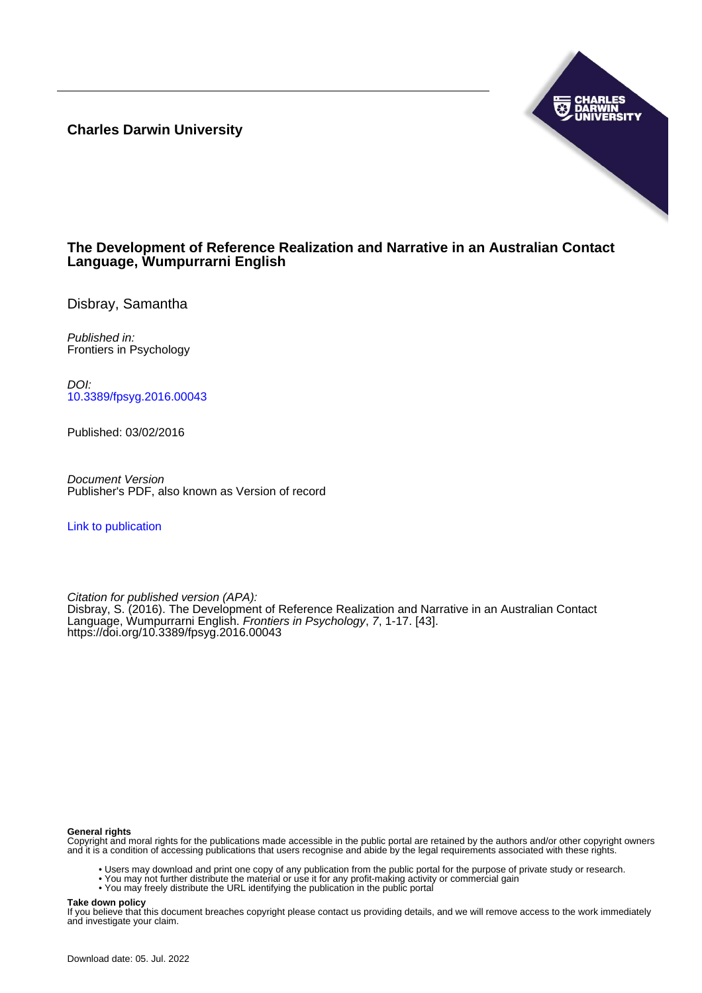**Charles Darwin University**



# **The Development of Reference Realization and Narrative in an Australian Contact Language, Wumpurrarni English**

Disbray, Samantha

Published in: Frontiers in Psychology

DOI: [10.3389/fpsyg.2016.00043](https://doi.org/10.3389/fpsyg.2016.00043)

Published: 03/02/2016

Document Version Publisher's PDF, also known as Version of record

[Link to publication](https://researchers.cdu.edu.au/en/publications/22f14ccf-3db9-40af-8f80-9e63f2e7cced)

Citation for published version (APA): Disbray, S. (2016). The Development of Reference Realization and Narrative in an Australian Contact Language, Wumpurrarni English. Frontiers in Psychology, 7, 1-17. [43]. <https://doi.org/10.3389/fpsyg.2016.00043>

#### **General rights**

Copyright and moral rights for the publications made accessible in the public portal are retained by the authors and/or other copyright owners and it is a condition of accessing publications that users recognise and abide by the legal requirements associated with these rights.

- Users may download and print one copy of any publication from the public portal for the purpose of private study or research.
- You may not further distribute the material or use it for any profit-making activity or commercial gain
- You may freely distribute the URL identifying the publication in the public portal

#### **Take down policy**

If you believe that this document breaches copyright please contact us providing details, and we will remove access to the work immediately and investigate your claim.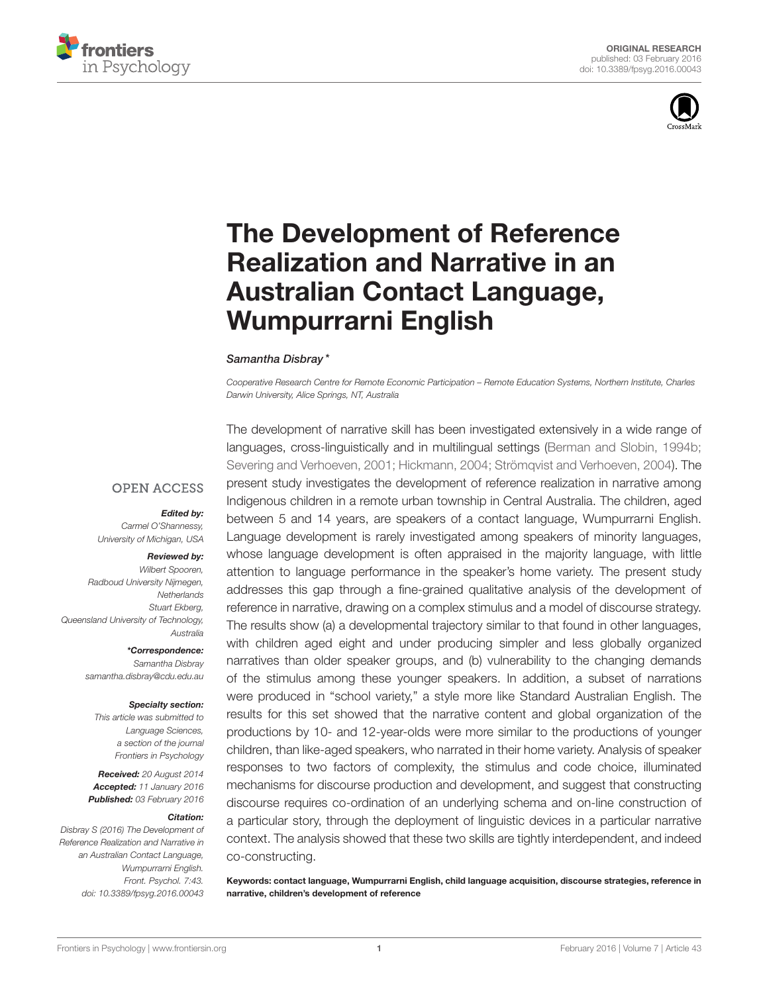



# The Development of Reference [Realization and Narrative in an](http://journal.frontiersin.org/article/10.3389/fpsyg.2016.00043/abstract) Australian Contact Language, Wumpurrarni English

#### [Samantha Disbray](http://loop.frontiersin.org/people/143738/overview) \*

*Cooperative Research Centre for Remote Economic Participation – Remote Education Systems, Northern Institute, Charles Darwin University, Alice Springs, NT, Australia*

#### **OPEN ACCESS**

#### Edited by:

*Carmel O'Shannessy, University of Michigan, USA*

#### Reviewed by:

*Wilbert Spooren, Radboud University Nijmegen, Netherlands Stuart Ekberg, Queensland University of Technology, Australia*

\*Correspondence:

*Samantha Disbray [samantha.disbray@cdu.edu.au](mailto:samantha.disbray@cdu.edu.au)*

#### Specialty section:

*This article was submitted to Language Sciences, a section of the journal Frontiers in Psychology*

Received: *20 August 2014* Accepted: *11 January 2016* Published: *03 February 2016*

#### Citation:

*Disbray S (2016) The Development of Reference Realization and Narrative in an Australian Contact Language, Wumpurrarni English. Front. Psychol. 7:43. doi: [10.3389/fpsyg.2016.00043](http://dx.doi.org/10.3389/fpsyg.2016.00043)*

The development of narrative skill has been investigated extensively in a wide range of languages, cross-linguistically and in multilingual settings [\(Berman and Slobin, 1994b;](#page-15-0) [Severing and Verhoeven, 2001;](#page-17-0) [Hickmann, 2004;](#page-16-0) [Strömqvist and Verhoeven, 2004\)](#page-17-1). The present study investigates the development of reference realization in narrative among Indigenous children in a remote urban township in Central Australia. The children, aged between 5 and 14 years, are speakers of a contact language, Wumpurrarni English. Language development is rarely investigated among speakers of minority languages, whose language development is often appraised in the majority language, with little attention to language performance in the speaker's home variety. The present study addresses this gap through a fine-grained qualitative analysis of the development of reference in narrative, drawing on a complex stimulus and a model of discourse strategy. The results show (a) a developmental trajectory similar to that found in other languages, with children aged eight and under producing simpler and less globally organized narratives than older speaker groups, and (b) vulnerability to the changing demands of the stimulus among these younger speakers. In addition, a subset of narrations were produced in "school variety," a style more like Standard Australian English. The results for this set showed that the narrative content and global organization of the productions by 10- and 12-year-olds were more similar to the productions of younger children, than like-aged speakers, who narrated in their home variety. Analysis of speaker responses to two factors of complexity, the stimulus and code choice, illuminated mechanisms for discourse production and development, and suggest that constructing discourse requires co-ordination of an underlying schema and on-line construction of a particular story, through the deployment of linguistic devices in a particular narrative context. The analysis showed that these two skills are tightly interdependent, and indeed co-constructing.

Keywords: contact language, Wumpurrarni English, child language acquisition, discourse strategies, reference in narrative, children's development of reference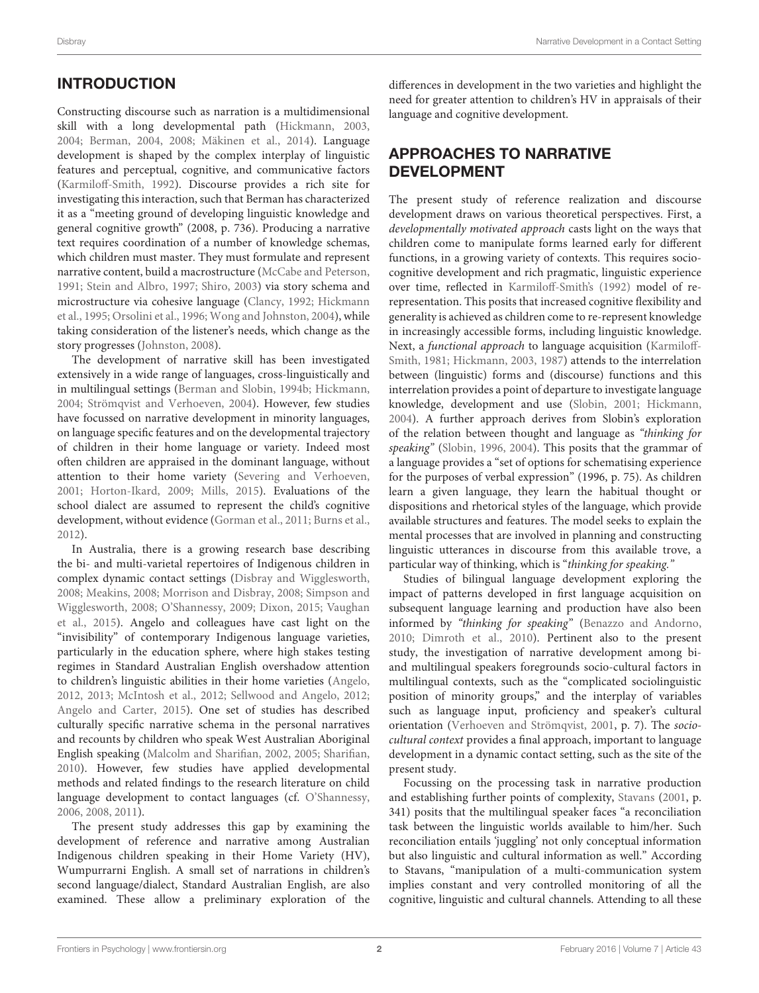# INTRODUCTION

Constructing discourse such as narration is a multidimensional skill with a long developmental path [\(Hickmann, 2003,](#page-16-1) [2004;](#page-16-0) [Berman, 2004,](#page-15-1) [2008;](#page-15-2) [Mäkinen et al., 2014\)](#page-16-2). Language development is shaped by the complex interplay of linguistic features and perceptual, cognitive, and communicative factors [\(Karmiloff-Smith, 1992\)](#page-16-3). Discourse provides a rich site for investigating this interaction, such that Berman has characterized it as a "meeting ground of developing linguistic knowledge and general cognitive growth" (2008, p. 736). Producing a narrative text requires coordination of a number of knowledge schemas, which children must master. They must formulate and represent narrative content, build a macrostructure [\(McCabe and Peterson,](#page-16-4) [1991;](#page-16-4) [Stein and Albro, 1997;](#page-17-2) [Shiro, 2003\)](#page-17-3) via story schema and microstructure via cohesive language [\(Clancy, 1992;](#page-15-3) Hickmann et al., [1995;](#page-16-5) [Orsolini et al., 1996;](#page-16-6) [Wong and Johnston, 2004\)](#page-17-4), while taking consideration of the listener's needs, which change as the story progresses [\(Johnston, 2008\)](#page-16-7).

The development of narrative skill has been investigated extensively in a wide range of languages, cross-linguistically and in multilingual settings [\(Berman and Slobin, 1994b;](#page-15-0) [Hickmann,](#page-16-0) [2004;](#page-16-0) [Strömqvist and Verhoeven, 2004\)](#page-17-1). However, few studies have focussed on narrative development in minority languages, on language specific features and on the developmental trajectory of children in their home language or variety. Indeed most often children are appraised in the dominant language, without attention to their home variety [\(Severing and Verhoeven,](#page-17-0) [2001;](#page-17-0) [Horton-Ikard, 2009;](#page-16-8) [Mills, 2015\)](#page-16-9). Evaluations of the school dialect are assumed to represent the child's cognitive development, without evidence [\(Gorman et al., 2011;](#page-16-10) [Burns et al.,](#page-15-4) [2012\)](#page-15-4).

In Australia, there is a growing research base describing the bi- and multi-varietal repertoires of Indigenous children in complex dynamic contact settings [\(Disbray and Wigglesworth,](#page-16-11) [2008;](#page-16-11) [Meakins, 2008;](#page-16-12) [Morrison and Disbray, 2008;](#page-16-13) Simpson and Wigglesworth, [2008;](#page-17-5) [O'Shannessy, 2009;](#page-17-6) [Dixon, 2015;](#page-16-14) Vaughan et al., [2015\)](#page-17-7). Angelo and colleagues have cast light on the "invisibility" of contemporary Indigenous language varieties, particularly in the education sphere, where high stakes testing regimes in Standard Australian English overshadow attention to children's linguistic abilities in their home varieties [\(Angelo,](#page-15-5) [2012,](#page-15-5) [2013;](#page-15-6) [McIntosh et al., 2012;](#page-16-15) [Sellwood and Angelo, 2012;](#page-17-8) [Angelo and Carter, 2015\)](#page-15-7). One set of studies has described culturally specific narrative schema in the personal narratives and recounts by children who speak West Australian Aboriginal English speaking [\(Malcolm and Sharifian, 2002,](#page-16-16) [2005;](#page-16-17) [Sharifian,](#page-17-9) [2010\)](#page-17-9). However, few studies have applied developmental methods and related findings to the research literature on child language development to contact languages (cf. [O'Shannessy,](#page-16-18) [2006,](#page-16-18) [2008,](#page-16-19) [2011\)](#page-17-10).

The present study addresses this gap by examining the development of reference and narrative among Australian Indigenous children speaking in their Home Variety (HV), Wumpurrarni English. A small set of narrations in children's second language/dialect, Standard Australian English, are also examined. These allow a preliminary exploration of the differences in development in the two varieties and highlight the need for greater attention to children's HV in appraisals of their language and cognitive development.

# APPROACHES TO NARRATIVE DEVELOPMENT

The present study of reference realization and discourse development draws on various theoretical perspectives. First, a developmentally motivated approach casts light on the ways that children come to manipulate forms learned early for different functions, in a growing variety of contexts. This requires sociocognitive development and rich pragmatic, linguistic experience over time, reflected in [Karmiloff-Smith's \(1992\)](#page-16-3) model of rerepresentation. This posits that increased cognitive flexibility and generality is achieved as children come to re-represent knowledge in increasingly accessible forms, including linguistic knowledge. Next, a functional approach to language acquisition (Karmiloff-Smith, [1981;](#page-16-20) [Hickmann, 2003,](#page-16-1) [1987\)](#page-16-21) attends to the interrelation between (linguistic) forms and (discourse) functions and this interrelation provides a point of departure to investigate language knowledge, development and use [\(Slobin, 2001;](#page-17-11) [Hickmann,](#page-16-0) [2004\)](#page-16-0). A further approach derives from Slobin's exploration of the relation between thought and language as "thinking for speaking" [\(Slobin, 1996,](#page-17-12) [2004\)](#page-17-13). This posits that the grammar of a language provides a "set of options for schematising experience for the purposes of verbal expression" (1996, p. 75). As children learn a given language, they learn the habitual thought or dispositions and rhetorical styles of the language, which provide available structures and features. The model seeks to explain the mental processes that are involved in planning and constructing linguistic utterances in discourse from this available trove, a particular way of thinking, which is "thinking for speaking."

Studies of bilingual language development exploring the impact of patterns developed in first language acquisition on subsequent language learning and production have also been informed by "thinking for speaking" [\(Benazzo and Andorno,](#page-15-8) [2010;](#page-15-8) [Dimroth et al., 2010\)](#page-15-9). Pertinent also to the present study, the investigation of narrative development among biand multilingual speakers foregrounds socio-cultural factors in multilingual contexts, such as the "complicated sociolinguistic position of minority groups," and the interplay of variables such as language input, proficiency and speaker's cultural orientation [\(Verhoeven and Strömqvist, 2001,](#page-17-14) p. 7). The sociocultural context provides a final approach, important to language development in a dynamic contact setting, such as the site of the present study.

Focussing on the processing task in narrative production and establishing further points of complexity, [Stavans](#page-17-15) [\(2001,](#page-17-15) p. 341) posits that the multilingual speaker faces "a reconciliation task between the linguistic worlds available to him/her. Such reconciliation entails 'juggling' not only conceptual information but also linguistic and cultural information as well." According to Stavans, "manipulation of a multi-communication system implies constant and very controlled monitoring of all the cognitive, linguistic and cultural channels. Attending to all these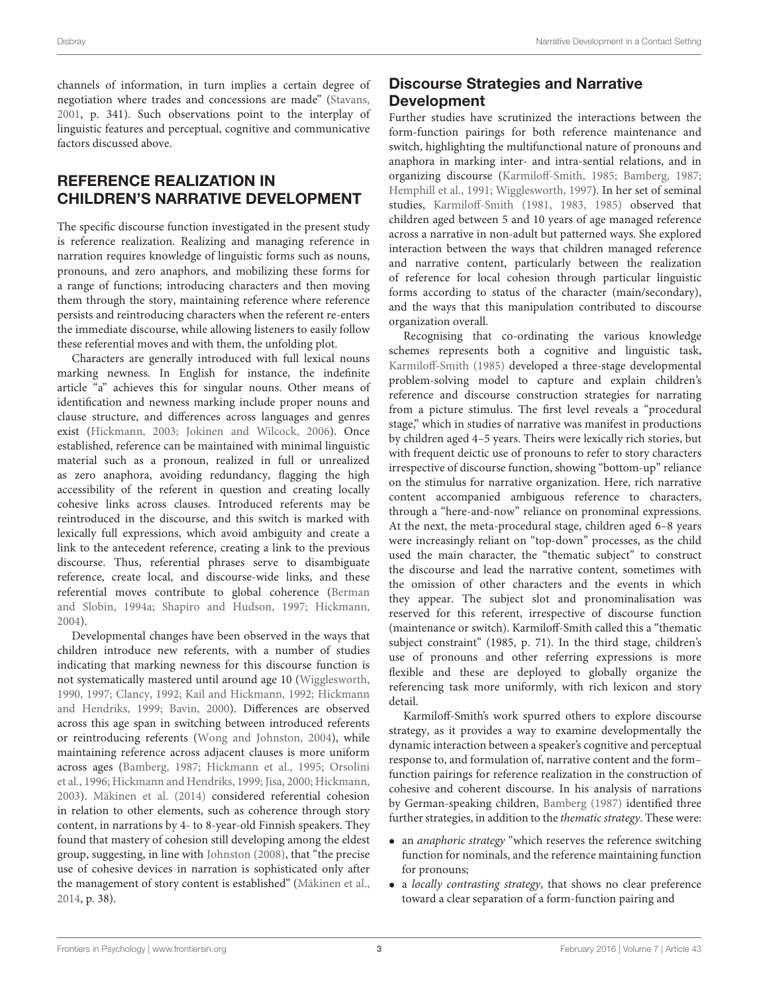channels of information, in turn implies a certain degree of negotiation where trades and concessions are made" [\(Stavans,](#page-17-15) [2001,](#page-17-15) p. 341). Such observations point to the interplay of linguistic features and perceptual, cognitive and communicative factors discussed above.

# REFERENCE REALIZATION IN CHILDREN'S NARRATIVE DEVELOPMENT

The specific discourse function investigated in the present study is reference realization. Realizing and managing reference in narration requires knowledge of linguistic forms such as nouns, pronouns, and zero anaphors, and mobilizing these forms for a range of functions; introducing characters and then moving them through the story, maintaining reference where reference persists and reintroducing characters when the referent re-enters the immediate discourse, while allowing listeners to easily follow these referential moves and with them, the unfolding plot.

Characters are generally introduced with full lexical nouns marking newness. In English for instance, the indefinite article "a" achieves this for singular nouns. Other means of identification and newness marking include proper nouns and clause structure, and differences across languages and genres exist [\(Hickmann, 2003;](#page-16-1) [Jokinen and Wilcock, 2006\)](#page-16-22). Once established, reference can be maintained with minimal linguistic material such as a pronoun, realized in full or unrealized as zero anaphora, avoiding redundancy, flagging the high accessibility of the referent in question and creating locally cohesive links across clauses. Introduced referents may be reintroduced in the discourse, and this switch is marked with lexically full expressions, which avoid ambiguity and create a link to the antecedent reference, creating a link to the previous discourse. Thus, referential phrases serve to disambiguate reference, create local, and discourse-wide links, and these referential moves contribute to global coherence (Berman and Slobin, [1994a;](#page-15-10) [Shapiro and Hudson, 1997;](#page-17-16) [Hickmann,](#page-16-0) [2004\)](#page-16-0).

Developmental changes have been observed in the ways that children introduce new referents, with a number of studies indicating that marking newness for this discourse function is not systematically mastered until around age 10 [\(Wigglesworth,](#page-17-17) [1990,](#page-17-17) [1997;](#page-17-18) [Clancy, 1992;](#page-15-3) [Kail and Hickmann, 1992;](#page-16-23) Hickmann and Hendriks, [1999;](#page-16-24) [Bavin, 2000\)](#page-15-11). Differences are observed across this age span in switching between introduced referents or reintroducing referents [\(Wong and Johnston, 2004\)](#page-17-4), while maintaining reference across adjacent clauses is more uniform across ages [\(Bamberg, 1987;](#page-15-12) [Hickmann et al., 1995;](#page-16-5) Orsolini et al., [1996;](#page-16-6) [Hickmann and Hendriks, 1999;](#page-16-24) [Jisa, 2000;](#page-16-25) [Hickmann,](#page-16-1) [2003\)](#page-16-1). [Mäkinen et al. \(2014\)](#page-16-2) considered referential cohesion in relation to other elements, such as coherence through story content, in narrations by 4- to 8-year-old Finnish speakers. They found that mastery of cohesion still developing among the eldest group, suggesting, in line with [Johnston \(2008\)](#page-16-7), that "the precise use of cohesive devices in narration is sophisticated only after the management of story content is established" [\(Mäkinen et al.,](#page-16-2) [2014,](#page-16-2) p. 38).

# Discourse Strategies and Narrative Development

Further studies have scrutinized the interactions between the form-function pairings for both reference maintenance and switch, highlighting the multifunctional nature of pronouns and anaphora in marking inter- and intra-sential relations, and in organizing discourse [\(Karmiloff-Smith, 1985;](#page-16-26) [Bamberg, 1987;](#page-15-12) [Hemphill et al., 1991;](#page-16-27) [Wigglesworth, 1997\)](#page-17-18). In her set of seminal studies, [Karmiloff-Smith \(1981,](#page-16-20) [1983,](#page-16-28) [1985\)](#page-16-26) observed that children aged between 5 and 10 years of age managed reference across a narrative in non-adult but patterned ways. She explored interaction between the ways that children managed reference and narrative content, particularly between the realization of reference for local cohesion through particular linguistic forms according to status of the character (main/secondary), and the ways that this manipulation contributed to discourse organization overall.

Recognising that co-ordinating the various knowledge schemes represents both a cognitive and linguistic task, [Karmiloff-Smith \(1985\)](#page-16-26) developed a three-stage developmental problem-solving model to capture and explain children's reference and discourse construction strategies for narrating from a picture stimulus. The first level reveals a "procedural stage," which in studies of narrative was manifest in productions by children aged 4–5 years. Theirs were lexically rich stories, but with frequent deictic use of pronouns to refer to story characters irrespective of discourse function, showing "bottom-up" reliance on the stimulus for narrative organization. Here, rich narrative content accompanied ambiguous reference to characters, through a "here-and-now" reliance on pronominal expressions. At the next, the meta-procedural stage, children aged 6–8 years were increasingly reliant on "top-down" processes, as the child used the main character, the "thematic subject" to construct the discourse and lead the narrative content, sometimes with the omission of other characters and the events in which they appear. The subject slot and pronominalisation was reserved for this referent, irrespective of discourse function (maintenance or switch). Karmiloff-Smith called this a "thematic subject constraint" (1985, p. 71). In the third stage, children's use of pronouns and other referring expressions is more flexible and these are deployed to globally organize the referencing task more uniformly, with rich lexicon and story detail.

Karmiloff-Smith's work spurred others to explore discourse strategy, as it provides a way to examine developmentally the dynamic interaction between a speaker's cognitive and perceptual response to, and formulation of, narrative content and the form– function pairings for reference realization in the construction of cohesive and coherent discourse. In his analysis of narrations by German-speaking children, [Bamberg \(1987\)](#page-15-12) identified three further strategies, in addition to the thematic strategy. These were:

- an *anaphoric strategy* "which reserves the reference switching function for nominals, and the reference maintaining function for pronouns;
- a locally contrasting strategy, that shows no clear preference toward a clear separation of a form-function pairing and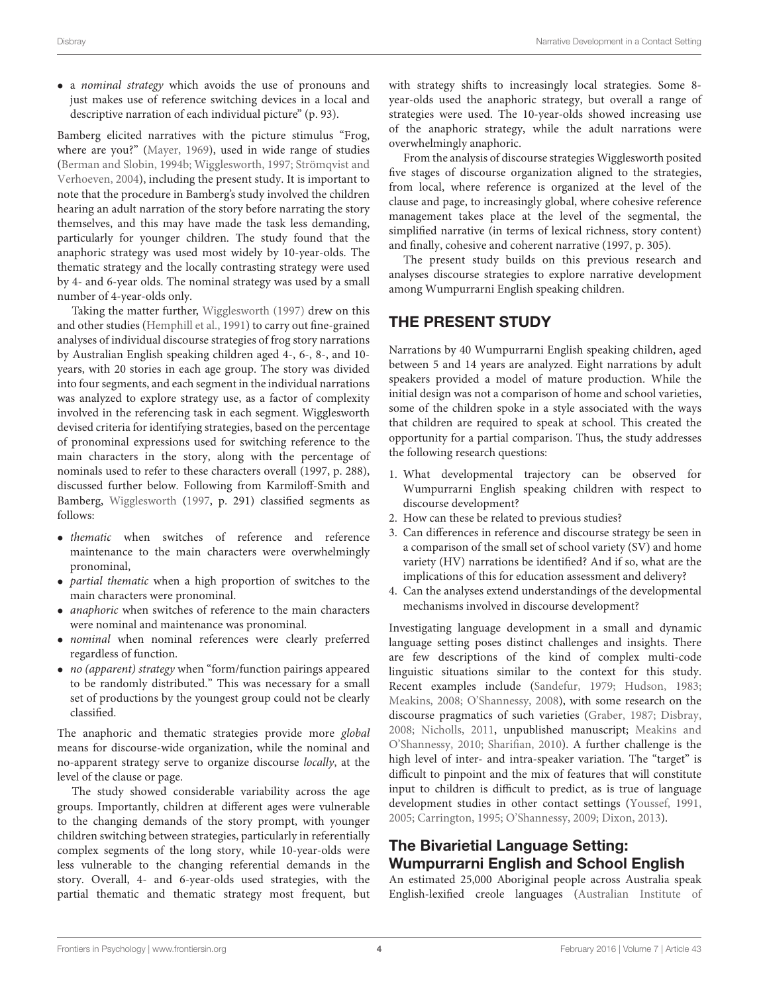• a nominal strategy which avoids the use of pronouns and just makes use of reference switching devices in a local and descriptive narration of each individual picture" (p. 93).

Bamberg elicited narratives with the picture stimulus "Frog, where are you?" [\(Mayer, 1969\)](#page-16-29), used in wide range of studies [\(Berman and Slobin, 1994b;](#page-15-0) [Wigglesworth, 1997;](#page-17-18) Strömqvist and Verhoeven, [2004\)](#page-17-1), including the present study. It is important to note that the procedure in Bamberg's study involved the children hearing an adult narration of the story before narrating the story themselves, and this may have made the task less demanding, particularly for younger children. The study found that the anaphoric strategy was used most widely by 10-year-olds. The thematic strategy and the locally contrasting strategy were used by 4- and 6-year olds. The nominal strategy was used by a small number of 4-year-olds only.

Taking the matter further, [Wigglesworth \(1997\)](#page-17-18) drew on this and other studies [\(Hemphill et al., 1991\)](#page-16-27) to carry out fine-grained analyses of individual discourse strategies of frog story narrations by Australian English speaking children aged 4-, 6-, 8-, and 10 years, with 20 stories in each age group. The story was divided into four segments, and each segment in the individual narrations was analyzed to explore strategy use, as a factor of complexity involved in the referencing task in each segment. Wigglesworth devised criteria for identifying strategies, based on the percentage of pronominal expressions used for switching reference to the main characters in the story, along with the percentage of nominals used to refer to these characters overall (1997, p. 288), discussed further below. Following from Karmiloff-Smith and Bamberg, [Wigglesworth](#page-17-18) [\(1997,](#page-17-18) p. 291) classified segments as follows:

- thematic when switches of reference and reference maintenance to the main characters were overwhelmingly pronominal,
- partial thematic when a high proportion of switches to the main characters were pronominal.
- anaphoric when switches of reference to the main characters were nominal and maintenance was pronominal.
- nominal when nominal references were clearly preferred regardless of function.
- *no (apparent) strategy* when "form/function pairings appeared to be randomly distributed." This was necessary for a small set of productions by the youngest group could not be clearly classified.

The anaphoric and thematic strategies provide more global means for discourse-wide organization, while the nominal and no-apparent strategy serve to organize discourse locally, at the level of the clause or page.

The study showed considerable variability across the age groups. Importantly, children at different ages were vulnerable to the changing demands of the story prompt, with younger children switching between strategies, particularly in referentially complex segments of the long story, while 10-year-olds were less vulnerable to the changing referential demands in the story. Overall, 4- and 6-year-olds used strategies, with the partial thematic and thematic strategy most frequent, but with strategy shifts to increasingly local strategies. Some 8 year-olds used the anaphoric strategy, but overall a range of strategies were used. The 10-year-olds showed increasing use of the anaphoric strategy, while the adult narrations were overwhelmingly anaphoric.

From the analysis of discourse strategies Wigglesworth posited five stages of discourse organization aligned to the strategies, from local, where reference is organized at the level of the clause and page, to increasingly global, where cohesive reference management takes place at the level of the segmental, the simplified narrative (in terms of lexical richness, story content) and finally, cohesive and coherent narrative (1997, p. 305).

The present study builds on this previous research and analyses discourse strategies to explore narrative development among Wumpurrarni English speaking children.

# THE PRESENT STUDY

Narrations by 40 Wumpurrarni English speaking children, aged between 5 and 14 years are analyzed. Eight narrations by adult speakers provided a model of mature production. While the initial design was not a comparison of home and school varieties, some of the children spoke in a style associated with the ways that children are required to speak at school. This created the opportunity for a partial comparison. Thus, the study addresses the following research questions:

- 1. What developmental trajectory can be observed for Wumpurrarni English speaking children with respect to discourse development?
- 2. How can these be related to previous studies?
- 3. Can differences in reference and discourse strategy be seen in a comparison of the small set of school variety (SV) and home variety (HV) narrations be identified? And if so, what are the implications of this for education assessment and delivery?
- 4. Can the analyses extend understandings of the developmental mechanisms involved in discourse development?

Investigating language development in a small and dynamic language setting poses distinct challenges and insights. There are few descriptions of the kind of complex multi-code linguistic situations similar to the context for this study. Recent examples include [\(Sandefur, 1979;](#page-17-19) [Hudson, 1983;](#page-16-30) [Meakins, 2008;](#page-16-12) [O'Shannessy, 2008\)](#page-16-19), with some research on the discourse pragmatics of such varieties [\(Graber, 1987;](#page-16-31) [Disbray,](#page-15-13) [2008;](#page-15-13) [Nicholls, 2011,](#page-16-32) unpublished manuscript; Meakins and O'Shannessy, [2010;](#page-16-33) [Sharifian, 2010\)](#page-17-9). A further challenge is the high level of inter- and intra-speaker variation. The "target" is difficult to pinpoint and the mix of features that will constitute input to children is difficult to predict, as is true of language development studies in other contact settings [\(Youssef, 1991,](#page-17-20) [2005;](#page-17-21) [Carrington, 1995;](#page-15-14) [O'Shannessy, 2009;](#page-17-6) [Dixon, 2013\)](#page-16-34).

# The Bivarietial Language Setting: Wumpurrarni English and School English

An estimated 25,000 Aboriginal people across Australia speak English-lexified creole languages (Australian Institute of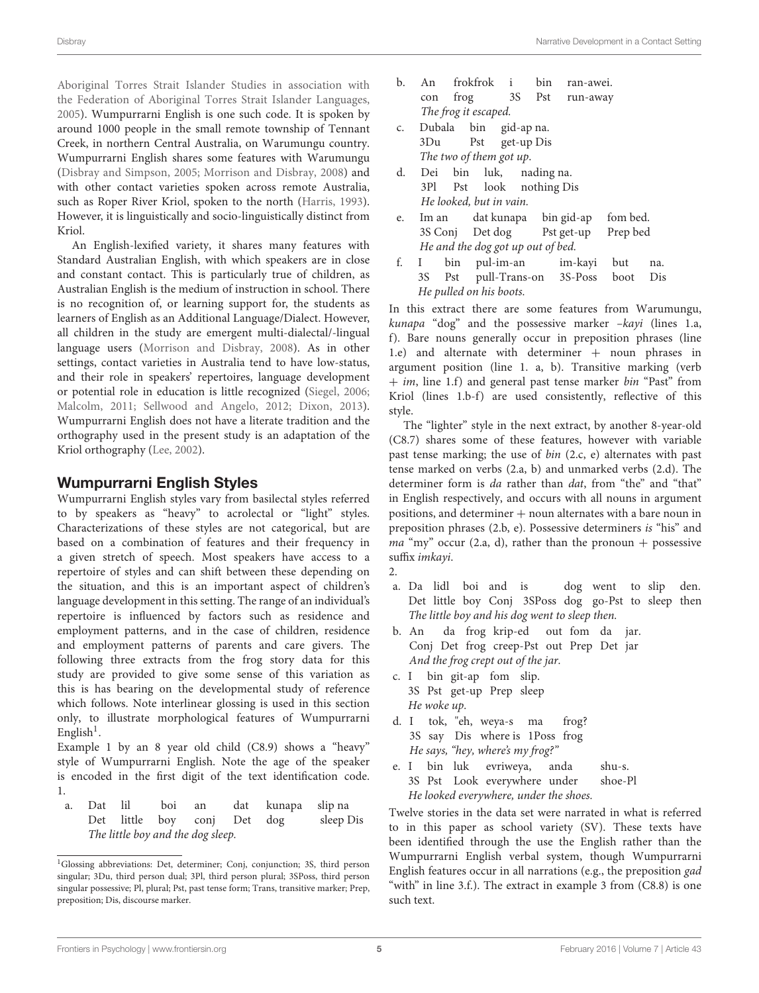[Aboriginal Torres Strait Islander Studies in association with](#page-15-15) the Federation of Aboriginal Torres Strait Islander Languages, [2005\)](#page-15-15). Wumpurrarni English is one such code. It is spoken by around 1000 people in the small remote township of Tennant Creek, in northern Central Australia, on Warumungu country. Wumpurrarni English shares some features with Warumungu [\(Disbray and Simpson, 2005;](#page-16-35) [Morrison and Disbray, 2008\)](#page-16-13) and with other contact varieties spoken across remote Australia, such as Roper River Kriol, spoken to the north [\(Harris, 1993\)](#page-16-36). However, it is linguistically and socio-linguistically distinct from Kriol.

An English-lexified variety, it shares many features with Standard Australian English, with which speakers are in close and constant contact. This is particularly true of children, as Australian English is the medium of instruction in school. There is no recognition of, or learning support for, the students as learners of English as an Additional Language/Dialect. However, all children in the study are emergent multi-dialectal/-lingual language users [\(Morrison and Disbray, 2008\)](#page-16-13). As in other settings, contact varieties in Australia tend to have low-status, and their role in speakers' repertoires, language development or potential role in education is little recognized [\(Siegel, 2006;](#page-17-22) [Malcolm, 2011;](#page-16-37) [Sellwood and Angelo, 2012;](#page-17-8) [Dixon, 2013\)](#page-16-34). Wumpurrarni English does not have a literate tradition and the orthography used in the present study is an adaptation of the Kriol orthography [\(Lee, 2002\)](#page-16-38).

# Wumpurrarni English Styles

Wumpurrarni English styles vary from basilectal styles referred to by speakers as "heavy" to acrolectal or "light" styles. Characterizations of these styles are not categorical, but are based on a combination of features and their frequency in a given stretch of speech. Most speakers have access to a repertoire of styles and can shift between these depending on the situation, and this is an important aspect of children's language development in this setting. The range of an individual's repertoire is influenced by factors such as residence and employment patterns, and in the case of children, residence and employment patterns of parents and care givers. The following three extracts from the frog story data for this study are provided to give some sense of this variation as this is has bearing on the developmental study of reference which follows. Note interlinear glossing is used in this section only, to illustrate morphological features of Wumpurrarni English<sup>[1](#page-5-0)</sup>.

Example 1 by an 8 year old child (C8.9) shows a "heavy" style of Wumpurrarni English. Note the age of the speaker is encoded in the first digit of the text identification code. 1.

a. Dat lil boi an dat kunapa slip na Det little boy conj Det dog sleep Dis The little boy and the dog sleep.

- b. An frokfrok i bin ran-awei. con frog 3S Pst run-away The frog it escaped.
- c. Dubala bin gid-ap na. 3Du Pst get-up Dis The two of them got up.
- d. Dei bin luk, nading na. 3Pl Pst look nothing Dis He looked, but in vain.
- e. Im an dat kunapa bin gid-ap fom bed. 3S Conj Det dog Pst get-up Prep bed He and the dog got up out of bed.
- f. I bin pul-im-an im-kayi but na. 3S Pst pull-Trans-on 3S-Poss boot Dis He pulled on his boots.

In this extract there are some features from Warumungu, kunapa "dog" and the possessive marker -kayi (lines 1.a, f). Bare nouns generally occur in preposition phrases (line 1.e) and alternate with determiner + noun phrases in argument position (line 1. a, b). Transitive marking (verb  $+$  im, line 1.f) and general past tense marker bin "Past" from Kriol (lines 1.b-f) are used consistently, reflective of this style.

The "lighter" style in the next extract, by another 8-year-old (C8.7) shares some of these features, however with variable past tense marking; the use of bin (2.c, e) alternates with past tense marked on verbs (2.a, b) and unmarked verbs (2.d). The determiner form is da rather than dat, from "the" and "that" in English respectively, and occurs with all nouns in argument positions, and determiner + noun alternates with a bare noun in preposition phrases (2.b, e). Possessive determiners is "his" and *ma* "my" occur (2.a, d), rather than the pronoun + possessive suffix imkayi.

- a. Da lidl boi and is dog went to slip den. Det little boy Conj 3SPoss dog go-Pst to sleep then The little boy and his dog went to sleep then.
- b. An da frog krip-ed out fom da jar. Conj Det frog creep-Pst out Prep Det jar And the frog crept out of the jar.
- c. I bin git-ap fom slip. 3S Pst get-up Prep sleep He woke up.
- d. I tok, "eh, weya-s ma frog? 3S say Dis where is 1Poss frog He says, "hey, where's my frog?"
- e. I bin luk evriweya, anda shu-s. 3S Pst Look everywhere under shoe-Pl He looked everywhere, under the shoes.

Twelve stories in the data set were narrated in what is referred to in this paper as school variety (SV). These texts have been identified through the use the English rather than the Wumpurrarni English verbal system, though Wumpurrarni English features occur in all narrations (e.g., the preposition gad "with" in line 3.f.). The extract in example 3 from (C8.8) is one such text.

2.

<span id="page-5-0"></span><sup>&</sup>lt;sup>1</sup>Glossing abbreviations: Det, determiner; Conj, conjunction; 3S, third person singular; 3Du, third person dual; 3Pl, third person plural; 3SPoss, third person singular possessive; Pl, plural; Pst, past tense form; Trans, transitive marker; Prep, preposition; Dis, discourse marker.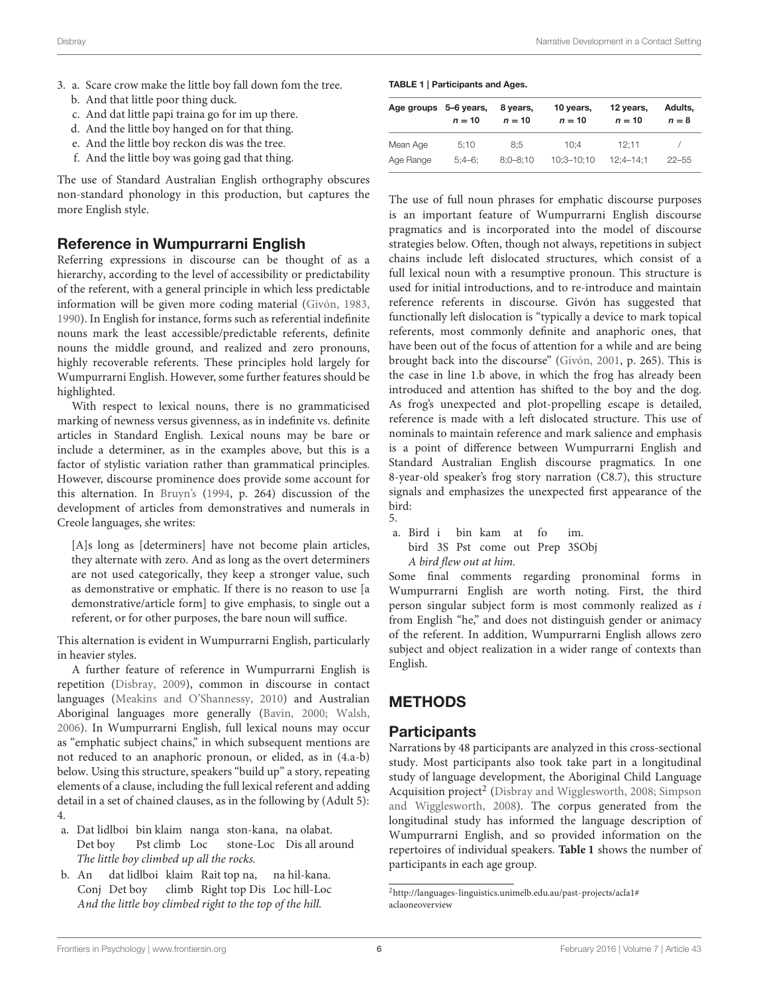- 3. a. Scare crow make the little boy fall down fom the tree.
	- b. And that little poor thing duck.
	- c. And dat little papi traina go for im up there.
	- d. And the little boy hanged on for that thing.
	- e. And the little boy reckon dis was the tree.
	- f. And the little boy was going gad that thing.

The use of Standard Australian English orthography obscures non-standard phonology in this production, but captures the more English style.

### Reference in Wumpurrarni English

Referring expressions in discourse can be thought of as a hierarchy, according to the level of accessibility or predictability of the referent, with a general principle in which less predictable information will be given more coding material [\(Givón, 1983,](#page-16-39) [1990\)](#page-16-40). In English for instance, forms such as referential indefinite nouns mark the least accessible/predictable referents, definite nouns the middle ground, and realized and zero pronouns, highly recoverable referents. These principles hold largely for Wumpurrarni English. However, some further features should be highlighted.

With respect to lexical nouns, there is no grammaticised marking of newness versus givenness, as in indefinite vs. definite articles in Standard English. Lexical nouns may be bare or include a determiner, as in the examples above, but this is a factor of stylistic variation rather than grammatical principles. However, discourse prominence does provide some account for this alternation. In [Bruyn's](#page-15-16) [\(1994,](#page-15-16) p. 264) discussion of the development of articles from demonstratives and numerals in Creole languages, she writes:

[A]s long as [determiners] have not become plain articles, they alternate with zero. And as long as the overt determiners are not used categorically, they keep a stronger value, such as demonstrative or emphatic. If there is no reason to use [a demonstrative/article form] to give emphasis, to single out a referent, or for other purposes, the bare noun will suffice.

This alternation is evident in Wumpurrarni English, particularly in heavier styles.

A further feature of reference in Wumpurrarni English is repetition [\(Disbray, 2009\)](#page-16-41), common in discourse in contact languages [\(Meakins and O'Shannessy, 2010\)](#page-16-33) and Australian Aboriginal languages more generally [\(Bavin, 2000;](#page-15-11) [Walsh,](#page-17-23) [2006\)](#page-17-23). In Wumpurrarni English, full lexical nouns may occur as "emphatic subject chains," in which subsequent mentions are not reduced to an anaphoric pronoun, or elided, as in (4.a-b) below. Using this structure, speakers "build up" a story, repeating elements of a clause, including the full lexical referent and adding detail in a set of chained clauses, as in the following by (Adult 5): 4.

- a. Dat lidlboi bin klaim nanga ston-kana, na olabat. Det boy Pst climb Loc stone-Loc Dis all around The little boy climbed up all the rocks.
- b. An dat lidlboi klaim Rait top na, na hil-kana. Conj Det boy climb Right top Dis Loc hill-Loc And the little boy climbed right to the top of the hill.

#### <span id="page-6-1"></span>TABLE 1 | Participants and Ages.

| Age groups 5-6 years, | $n = 10$ | 8 years,<br>$n = 10$ | 10 years,<br>$n = 10$ | 12 years,<br>$n = 10$ | Adults.<br>$n=8$ |
|-----------------------|----------|----------------------|-----------------------|-----------------------|------------------|
| Mean Age              | 5:10     | 8:5                  | 10:4                  | 12:11                 |                  |
| Age Range             | $5:4-6:$ | $8:0 - 8:10$         | $10:3 - 10:10$        | $12:4 - 14:1$         | $22 - 55$        |

The use of full noun phrases for emphatic discourse purposes is an important feature of Wumpurrarni English discourse pragmatics and is incorporated into the model of discourse strategies below. Often, though not always, repetitions in subject chains include left dislocated structures, which consist of a full lexical noun with a resumptive pronoun. This structure is used for initial introductions, and to re-introduce and maintain reference referents in discourse. Givón has suggested that functionally left dislocation is "typically a device to mark topical referents, most commonly definite and anaphoric ones, that have been out of the focus of attention for a while and are being brought back into the discourse" [\(Givón, 2001,](#page-16-42) p. 265). This is the case in line 1.b above, in which the frog has already been introduced and attention has shifted to the boy and the dog. As frog's unexpected and plot-propelling escape is detailed, reference is made with a left dislocated structure. This use of nominals to maintain reference and mark salience and emphasis is a point of difference between Wumpurrarni English and Standard Australian English discourse pragmatics. In one 8-year-old speaker's frog story narration (C8.7), this structure signals and emphasizes the unexpected first appearance of the bird: 5.

a. Bird i bin kam at fo im. bird 3S Pst come out Prep 3SObj A bird flew out at him.

Some final comments regarding pronominal forms in Wumpurrarni English are worth noting. First, the third person singular subject form is most commonly realized as i from English "he," and does not distinguish gender or animacy of the referent. In addition, Wumpurrarni English allows zero subject and object realization in a wider range of contexts than English.

# METHODS

### **Participants**

Narrations by 48 participants are analyzed in this cross-sectional study. Most participants also took take part in a longitudinal study of language development, the Aboriginal Child Language Acquisition project<sup>[2](#page-6-0)</sup> [\(Disbray and Wigglesworth, 2008;](#page-16-11) Simpson and Wigglesworth, [2008\)](#page-17-5). The corpus generated from the longitudinal study has informed the language description of Wumpurrarni English, and so provided information on the repertoires of individual speakers. **[Table 1](#page-6-1)** shows the number of participants in each age group.

<span id="page-6-0"></span><sup>2</sup>[http://languages-linguistics.unimelb.edu.au/past-projects/acla1#](http://languages-linguistics.unimelb.edu.au/past-projects/acla1#aclaoneoverview) [aclaoneoverview](http://languages-linguistics.unimelb.edu.au/past-projects/acla1#aclaoneoverview)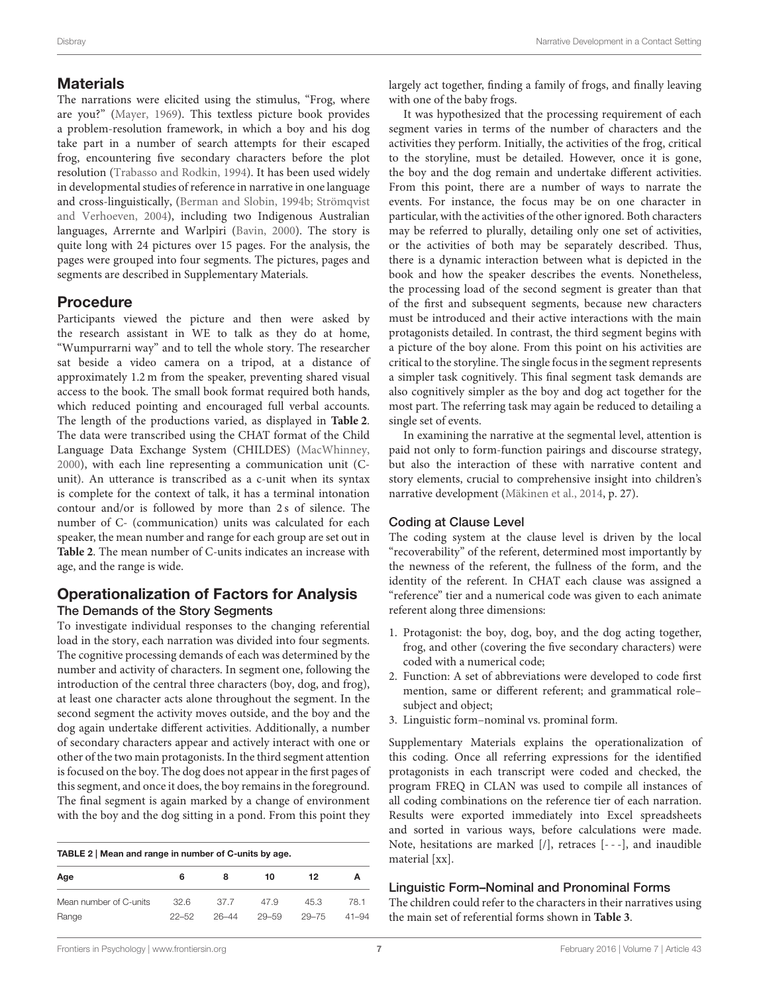#### **Materials**

The narrations were elicited using the stimulus, "Frog, where are you?" [\(Mayer, 1969\)](#page-16-29). This textless picture book provides a problem-resolution framework, in which a boy and his dog take part in a number of search attempts for their escaped frog, encountering five secondary characters before the plot resolution [\(Trabasso and Rodkin, 1994\)](#page-17-24). It has been used widely in developmental studies of reference in narrative in one language and cross-linguistically, [\(Berman and Slobin, 1994b;](#page-15-0) Strömqvist and Verhoeven, [2004\)](#page-17-1), including two Indigenous Australian languages, Arrernte and Warlpiri [\(Bavin, 2000\)](#page-15-11). The story is quite long with 24 pictures over 15 pages. For the analysis, the pages were grouped into four segments. The pictures, pages and segments are described in Supplementary Materials.

### Procedure

Participants viewed the picture and then were asked by the research assistant in WE to talk as they do at home, "Wumpurrarni way" and to tell the whole story. The researcher sat beside a video camera on a tripod, at a distance of approximately 1.2 m from the speaker, preventing shared visual access to the book. The small book format required both hands, which reduced pointing and encouraged full verbal accounts. The length of the productions varied, as displayed in **[Table 2](#page-7-0)**. The data were transcribed using the CHAT format of the Child Language Data Exchange System (CHILDES) [\(MacWhinney,](#page-16-43) [2000\)](#page-16-43), with each line representing a communication unit (Cunit). An utterance is transcribed as a c-unit when its syntax is complete for the context of talk, it has a terminal intonation contour and/or is followed by more than 2 s of silence. The number of C- (communication) units was calculated for each speaker, the mean number and range for each group are set out in **[Table 2](#page-7-0)**. The mean number of C-units indicates an increase with age, and the range is wide.

#### Operationalization of Factors for Analysis The Demands of the Story Segments

To investigate individual responses to the changing referential load in the story, each narration was divided into four segments. The cognitive processing demands of each was determined by the number and activity of characters. In segment one, following the introduction of the central three characters (boy, dog, and frog), at least one character acts alone throughout the segment. In the second segment the activity moves outside, and the boy and the dog again undertake different activities. Additionally, a number of secondary characters appear and actively interact with one or other of the two main protagonists. In the third segment attention is focused on the boy. The dog does not appear in the first pages of this segment, and once it does, the boy remains in the foreground. The final segment is again marked by a change of environment with the boy and the dog sitting in a pond. From this point they

<span id="page-7-0"></span>

| TABLE 2   Mean and range in number of C-units by age. |           |           |           |           |           |  |
|-------------------------------------------------------|-----------|-----------|-----------|-----------|-----------|--|
| Age                                                   | 6         | 8         | 10        | 12        | А         |  |
| Mean number of C-units                                | 326       | 37.7      | 47.9      | 45.3      | 78.1      |  |
| Range                                                 | $22 - 52$ | $26 - 44$ | $29 - 59$ | $29 - 75$ | $41 - 94$ |  |

largely act together, finding a family of frogs, and finally leaving with one of the baby frogs.

It was hypothesized that the processing requirement of each segment varies in terms of the number of characters and the activities they perform. Initially, the activities of the frog, critical to the storyline, must be detailed. However, once it is gone, the boy and the dog remain and undertake different activities. From this point, there are a number of ways to narrate the events. For instance, the focus may be on one character in particular, with the activities of the other ignored. Both characters may be referred to plurally, detailing only one set of activities, or the activities of both may be separately described. Thus, there is a dynamic interaction between what is depicted in the book and how the speaker describes the events. Nonetheless, the processing load of the second segment is greater than that of the first and subsequent segments, because new characters must be introduced and their active interactions with the main protagonists detailed. In contrast, the third segment begins with a picture of the boy alone. From this point on his activities are critical to the storyline. The single focus in the segment represents a simpler task cognitively. This final segment task demands are also cognitively simpler as the boy and dog act together for the most part. The referring task may again be reduced to detailing a single set of events.

In examining the narrative at the segmental level, attention is paid not only to form-function pairings and discourse strategy, but also the interaction of these with narrative content and story elements, crucial to comprehensive insight into children's narrative development [\(Mäkinen et al., 2014,](#page-16-2) p. 27).

#### Coding at Clause Level

The coding system at the clause level is driven by the local "recoverability" of the referent, determined most importantly by the newness of the referent, the fullness of the form, and the identity of the referent. In CHAT each clause was assigned a "reference" tier and a numerical code was given to each animate referent along three dimensions:

- 1. Protagonist: the boy, dog, boy, and the dog acting together, frog, and other (covering the five secondary characters) were coded with a numerical code;
- 2. Function: A set of abbreviations were developed to code first mention, same or different referent; and grammatical role– subject and object;
- 3. Linguistic form–nominal vs. prominal form.

Supplementary Materials explains the operationalization of this coding. Once all referring expressions for the identified protagonists in each transcript were coded and checked, the program FREQ in CLAN was used to compile all instances of all coding combinations on the reference tier of each narration. Results were exported immediately into Excel spreadsheets and sorted in various ways, before calculations were made. Note, hesitations are marked [/], retraces [- - -], and inaudible material [xx].

#### Linguistic Form–Nominal and Pronominal Forms

The children could refer to the characters in their narratives using the main set of referential forms shown in **[Table 3](#page-8-0)**.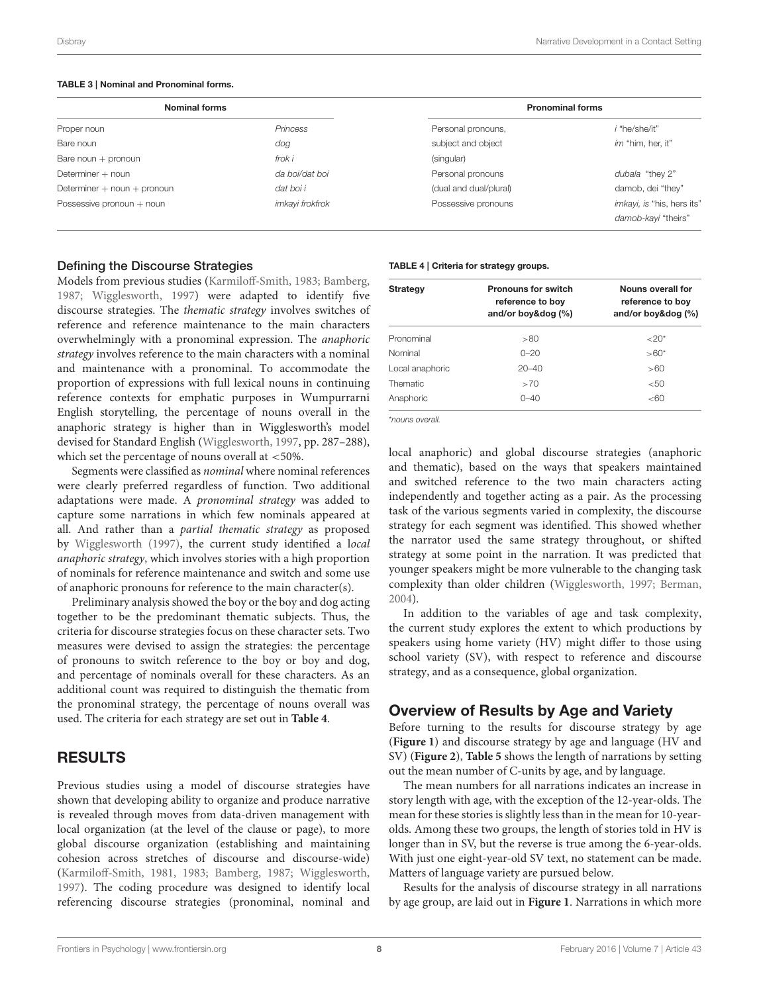#### <span id="page-8-0"></span>TABLE 3 | Nominal and Pronominal forms.

| <b>Nominal forms</b>            |                 |                        | <b>Pronominal forms</b>    |
|---------------------------------|-----------------|------------------------|----------------------------|
| Proper noun                     | Princess        | Personal pronouns,     | i "he/she/it"              |
| Bare noun                       | dog             | subject and object     | im "him, her, it"          |
| Bare noun $+$ pronoun           | frok i          | (singular)             |                            |
| Determiner + noun               | da boi/dat boi  | Personal pronouns      | dubala "they 2"            |
| Determiner $+$ noun $+$ pronoun | dat boi i       | (dual and dual/plural) | damob, dei "they"          |
| Possessive pronoun + noun       | imkayi frokfrok | Possessive pronouns    | imkayi, is "his, hers its" |
|                                 |                 |                        | damob-kayi "theirs"        |

#### Defining the Discourse Strategies

Models from previous studies [\(Karmiloff-Smith, 1983;](#page-16-28) [Bamberg,](#page-15-12) [1987;](#page-15-12) [Wigglesworth, 1997\)](#page-17-18) were adapted to identify five discourse strategies. The thematic strategy involves switches of reference and reference maintenance to the main characters overwhelmingly with a pronominal expression. The anaphoric strategy involves reference to the main characters with a nominal and maintenance with a pronominal. To accommodate the proportion of expressions with full lexical nouns in continuing reference contexts for emphatic purposes in Wumpurrarni English storytelling, the percentage of nouns overall in the anaphoric strategy is higher than in Wigglesworth's model devised for Standard English [\(Wigglesworth, 1997,](#page-17-18) pp. 287–288), which set the percentage of nouns overall at  $\langle 50\% \rangle$ .

Segments were classified as nominal where nominal references were clearly preferred regardless of function. Two additional adaptations were made. A pronominal strategy was added to capture some narrations in which few nominals appeared at all. And rather than a partial thematic strategy as proposed by [Wigglesworth \(1997\)](#page-17-18), the current study identified a local anaphoric strategy, which involves stories with a high proportion of nominals for reference maintenance and switch and some use of anaphoric pronouns for reference to the main character(s).

Preliminary analysis showed the boy or the boy and dog acting together to be the predominant thematic subjects. Thus, the criteria for discourse strategies focus on these character sets. Two measures were devised to assign the strategies: the percentage of pronouns to switch reference to the boy or boy and dog, and percentage of nominals overall for these characters. As an additional count was required to distinguish the thematic from the pronominal strategy, the percentage of nouns overall was used. The criteria for each strategy are set out in **[Table 4](#page-8-1)**.

### RESULTS

Previous studies using a model of discourse strategies have shown that developing ability to organize and produce narrative is revealed through moves from data-driven management with local organization (at the level of the clause or page), to more global discourse organization (establishing and maintaining cohesion across stretches of discourse and discourse-wide) [\(Karmiloff-Smith, 1981,](#page-16-20) [1983;](#page-16-28) [Bamberg, 1987;](#page-15-12) [Wigglesworth,](#page-17-18) [1997\)](#page-17-18). The coding procedure was designed to identify local referencing discourse strategies (pronominal, nominal and

#### <span id="page-8-1"></span>TABLE 4 | Criteria for strategy groups.

| <b>Strategy</b> | <b>Pronouns for switch</b><br>reference to boy<br>and/or boy&dog (%) | Nouns overall for<br>reference to boy<br>and/or boy&dog (%) |  |  |
|-----------------|----------------------------------------------------------------------|-------------------------------------------------------------|--|--|
| Pronominal      | >80                                                                  | ${<}20*$                                                    |  |  |
| Nominal         | $0 - 20$                                                             | $> 60*$                                                     |  |  |
| Local anaphoric | $20 - 40$                                                            | >60                                                         |  |  |
| Thematic        | >70                                                                  | < 50                                                        |  |  |
| Anaphoric       | $0 - 40$                                                             | < 60                                                        |  |  |
|                 |                                                                      |                                                             |  |  |

\**nouns overall.*

local anaphoric) and global discourse strategies (anaphoric and thematic), based on the ways that speakers maintained and switched reference to the two main characters acting independently and together acting as a pair. As the processing task of the various segments varied in complexity, the discourse strategy for each segment was identified. This showed whether the narrator used the same strategy throughout, or shifted strategy at some point in the narration. It was predicted that younger speakers might be more vulnerable to the changing task complexity than older children [\(Wigglesworth, 1997;](#page-17-18) [Berman,](#page-15-1) [2004\)](#page-15-1).

In addition to the variables of age and task complexity, the current study explores the extent to which productions by speakers using home variety (HV) might differ to those using school variety (SV), with respect to reference and discourse strategy, and as a consequence, global organization.

#### Overview of Results by Age and Variety

Before turning to the results for discourse strategy by age (**[Figure 1](#page-9-0)**) and discourse strategy by age and language (HV and SV) (**[Figure 2](#page-9-1)**), **[Table 5](#page-9-2)** shows the length of narrations by setting out the mean number of C-units by age, and by language.

The mean numbers for all narrations indicates an increase in story length with age, with the exception of the 12-year-olds. The mean for these stories is slightly less than in the mean for 10-yearolds. Among these two groups, the length of stories told in HV is longer than in SV, but the reverse is true among the 6-year-olds. With just one eight-year-old SV text, no statement can be made. Matters of language variety are pursued below.

Results for the analysis of discourse strategy in all narrations by age group, are laid out in **[Figure 1](#page-9-0)**. Narrations in which more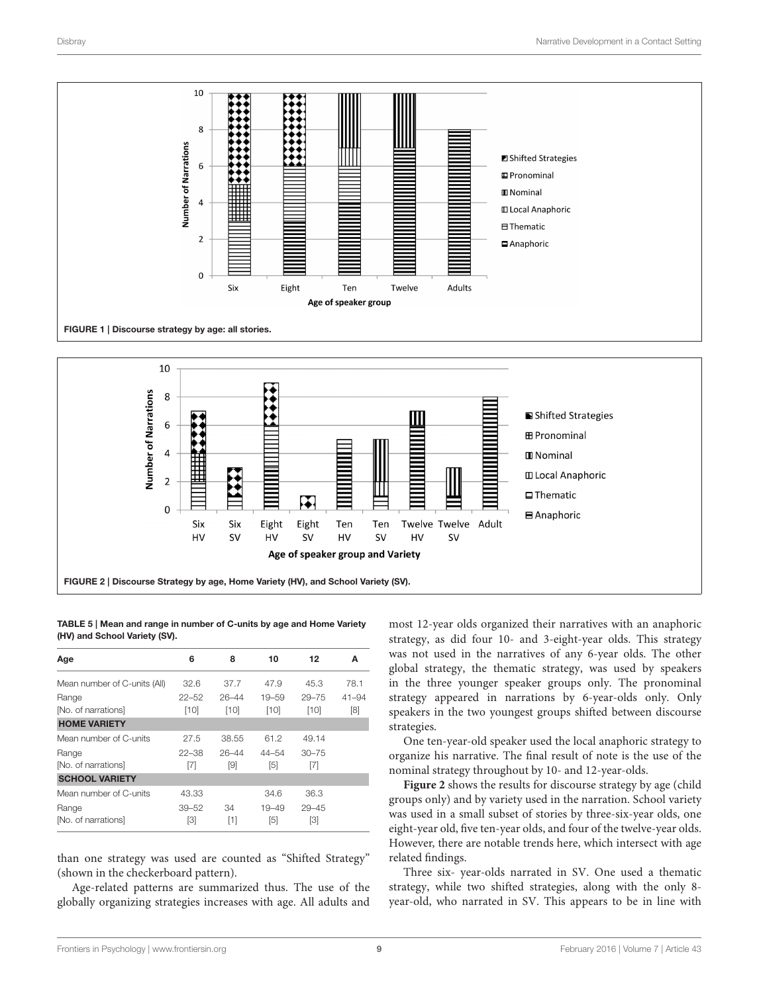

<span id="page-9-0"></span>

<span id="page-9-2"></span><span id="page-9-1"></span>TABLE 5 | Mean and range in number of C-units by age and Home Variety (HV) and School Variety (SV).

| Age                          | 6         | 8         | 10        | 12        | A         |
|------------------------------|-----------|-----------|-----------|-----------|-----------|
| Mean number of C-units (All) | 32.6      | 37.7      | 47.9      | 45.3      | 78.1      |
| Range                        | $22 - 52$ | $26 - 44$ | $19 - 59$ | $29 - 75$ | $41 - 94$ |
| [No. of narrations]          | $[10]$    | $[10]$    | [10]      | [10]      | [8]       |
| <b>HOME VARIETY</b>          |           |           |           |           |           |
| Mean number of C-units       | 27.5      | 38.55     | 61.2      | 49.14     |           |
| Range                        | $22 - 38$ | $26 - 44$ | $44 - 54$ | $30 - 75$ |           |
| [No. of narrations]          | [7]       | [9]       | [5]       | [7]       |           |
| <b>SCHOOL VARIETY</b>        |           |           |           |           |           |
| Mean number of C-units       | 43.33     |           | 34.6      | 36.3      |           |
| Range                        | $39 - 52$ | 34        | $19 - 49$ | $29 - 45$ |           |
| [No. of narrations]          | [3]       | [1]       | [5]       | [3]       |           |

than one strategy was used are counted as "Shifted Strategy" (shown in the checkerboard pattern).

Age-related patterns are summarized thus. The use of the globally organizing strategies increases with age. All adults and most 12-year olds organized their narratives with an anaphoric strategy, as did four 10- and 3-eight-year olds. This strategy was not used in the narratives of any 6-year olds. The other global strategy, the thematic strategy, was used by speakers in the three younger speaker groups only. The pronominal strategy appeared in narrations by 6-year-olds only. Only speakers in the two youngest groups shifted between discourse strategies.

One ten-year-old speaker used the local anaphoric strategy to organize his narrative. The final result of note is the use of the nominal strategy throughout by 10- and 12-year-olds.

**[Figure 2](#page-9-1)** shows the results for discourse strategy by age (child groups only) and by variety used in the narration. School variety was used in a small subset of stories by three-six-year olds, one eight-year old, five ten-year olds, and four of the twelve-year olds. However, there are notable trends here, which intersect with age related findings.

Three six- year-olds narrated in SV. One used a thematic strategy, while two shifted strategies, along with the only 8 year-old, who narrated in SV. This appears to be in line with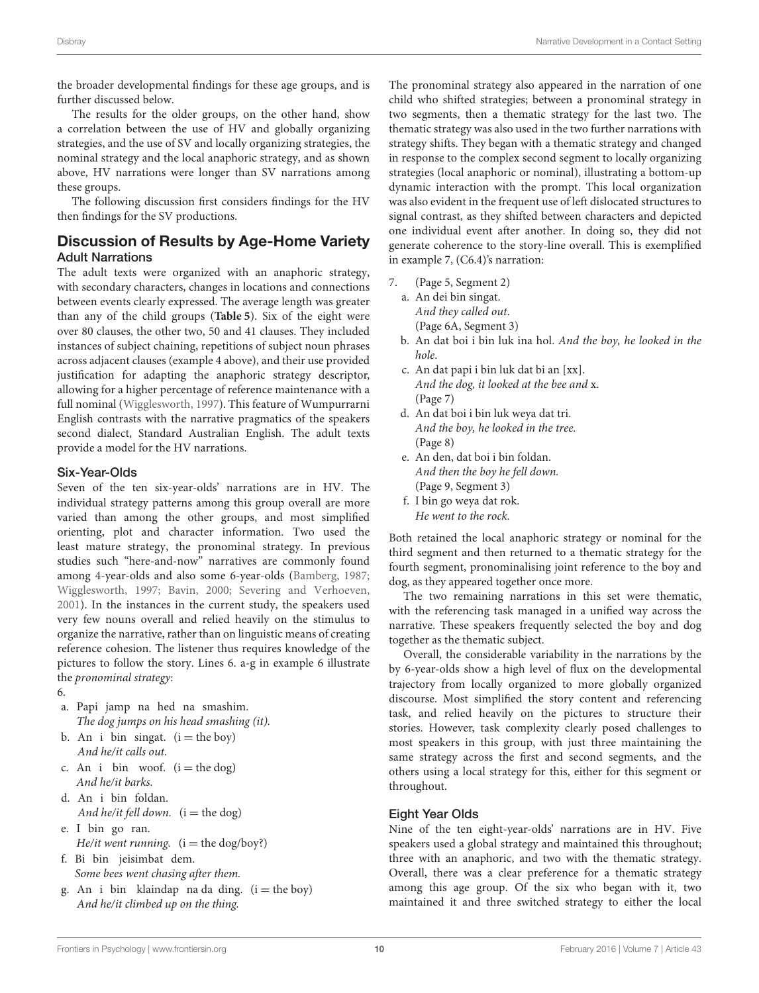the broader developmental findings for these age groups, and is further discussed below.

The results for the older groups, on the other hand, show a correlation between the use of HV and globally organizing strategies, and the use of SV and locally organizing strategies, the nominal strategy and the local anaphoric strategy, and as shown above, HV narrations were longer than SV narrations among these groups.

The following discussion first considers findings for the HV then findings for the SV productions.

# Discussion of Results by Age-Home Variety Adult Narrations

The adult texts were organized with an anaphoric strategy, with secondary characters, changes in locations and connections between events clearly expressed. The average length was greater than any of the child groups (**[Table 5](#page-9-2)**). Six of the eight were over 80 clauses, the other two, 50 and 41 clauses. They included instances of subject chaining, repetitions of subject noun phrases across adjacent clauses (example 4 above), and their use provided justification for adapting the anaphoric strategy descriptor, allowing for a higher percentage of reference maintenance with a full nominal [\(Wigglesworth, 1997\)](#page-17-18). This feature of Wumpurrarni English contrasts with the narrative pragmatics of the speakers second dialect, Standard Australian English. The adult texts provide a model for the HV narrations.

#### Six-Year-Olds

Seven of the ten six-year-olds' narrations are in HV. The individual strategy patterns among this group overall are more varied than among the other groups, and most simplified orienting, plot and character information. Two used the least mature strategy, the pronominal strategy. In previous studies such "here-and-now" narratives are commonly found among 4-year-olds and also some 6-year-olds [\(Bamberg, 1987;](#page-15-12) [Wigglesworth, 1997;](#page-17-18) [Bavin, 2000;](#page-15-11) [Severing and Verhoeven,](#page-17-0) [2001\)](#page-17-0). In the instances in the current study, the speakers used very few nouns overall and relied heavily on the stimulus to organize the narrative, rather than on linguistic means of creating reference cohesion. The listener thus requires knowledge of the pictures to follow the story. Lines 6. a-g in example 6 illustrate the pronominal strategy:

6.

- a. Papi jamp na hed na smashim. The dog jumps on his head smashing (it).
- b. An i bin singat.  $(i = the boy)$ And he/it calls out.
- c. An i bin woof.  $(i = the dog)$ And he/it barks.
- d. An i bin foldan. And he/it fell down.  $(i = the dog)$
- e. I bin go ran. He/it went running.  $(i = the dog/boy?)$
- f. Bi bin jeisimbat dem. Some bees went chasing after them.
- g. An i bin klaindap na da ding.  $(i = the boy)$ And he/it climbed up on the thing.

The pronominal strategy also appeared in the narration of one child who shifted strategies; between a pronominal strategy in two segments, then a thematic strategy for the last two. The thematic strategy was also used in the two further narrations with strategy shifts. They began with a thematic strategy and changed in response to the complex second segment to locally organizing strategies (local anaphoric or nominal), illustrating a bottom-up dynamic interaction with the prompt. This local organization was also evident in the frequent use of left dislocated structures to signal contrast, as they shifted between characters and depicted one individual event after another. In doing so, they did not generate coherence to the story-line overall. This is exemplified in example 7, (C6.4)'s narration:

- 7. (Page 5, Segment 2)
	- a. An dei bin singat. And they called out. (Page 6A, Segment 3)
	- b. An dat boi i bin luk ina hol. And the boy, he looked in the hole.
	- c. An dat papi i bin luk dat bi an [xx]. And the dog, it looked at the bee and x. (Page 7)
	- d. An dat boi i bin luk weya dat tri. And the boy, he looked in the tree. (Page 8)
	- e. An den, dat boi i bin foldan. And then the boy he fell down. (Page 9, Segment 3)
	- f. I bin go weya dat rok. He went to the rock.

Both retained the local anaphoric strategy or nominal for the third segment and then returned to a thematic strategy for the fourth segment, pronominalising joint reference to the boy and dog, as they appeared together once more.

The two remaining narrations in this set were thematic, with the referencing task managed in a unified way across the narrative. These speakers frequently selected the boy and dog together as the thematic subject.

Overall, the considerable variability in the narrations by the by 6-year-olds show a high level of flux on the developmental trajectory from locally organized to more globally organized discourse. Most simplified the story content and referencing task, and relied heavily on the pictures to structure their stories. However, task complexity clearly posed challenges to most speakers in this group, with just three maintaining the same strategy across the first and second segments, and the others using a local strategy for this, either for this segment or throughout.

### Eight Year Olds

Nine of the ten eight-year-olds' narrations are in HV. Five speakers used a global strategy and maintained this throughout; three with an anaphoric, and two with the thematic strategy. Overall, there was a clear preference for a thematic strategy among this age group. Of the six who began with it, two maintained it and three switched strategy to either the local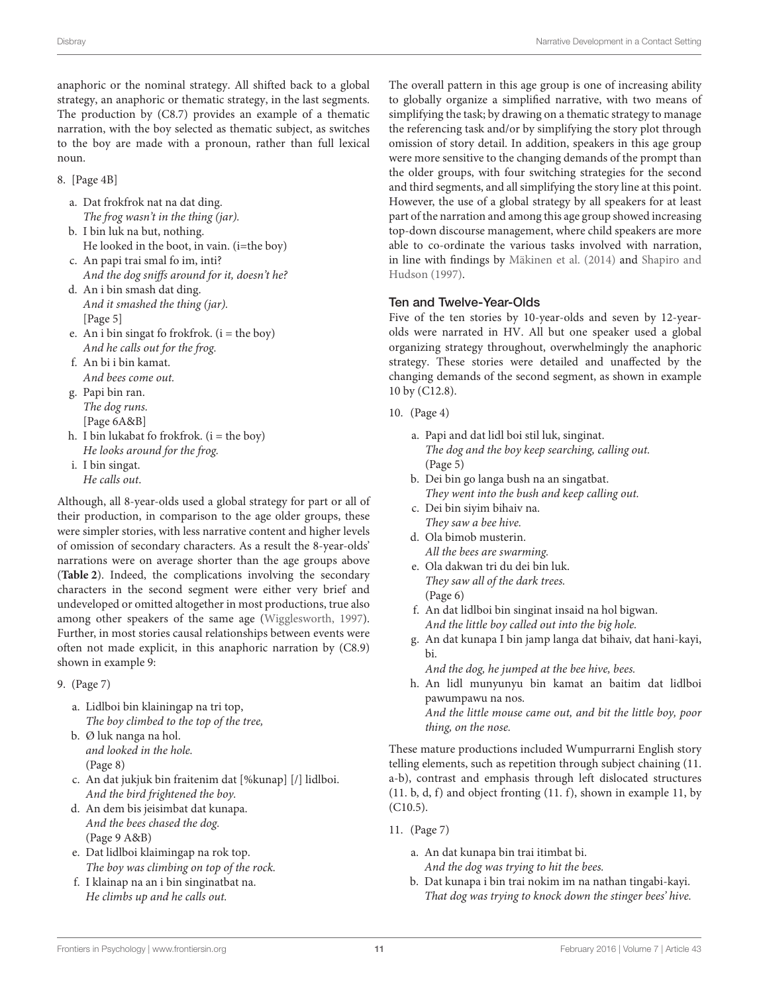anaphoric or the nominal strategy. All shifted back to a global strategy, an anaphoric or thematic strategy, in the last segments. The production by (C8.7) provides an example of a thematic narration, with the boy selected as thematic subject, as switches to the boy are made with a pronoun, rather than full lexical noun.

8. [Page 4B]

- a. Dat frokfrok nat na dat ding. The frog wasn't in the thing (jar).
- b. I bin luk na but, nothing. He looked in the boot, in vain. (i=the boy)
- c. An papi trai smal fo im, inti? And the dog sniffs around for it, doesn't he?
- d. An i bin smash dat ding. And it smashed the thing (jar). [Page 5]
- e. An i bin singat fo frokfrok.  $(i = the boy)$ And he calls out for the frog.
- f. An bi i bin kamat. And bees come out.
- g. Papi bin ran. The dog runs. [Page 6A&B]
- h. I bin lukabat fo frokfrok.  $(i = the boy)$ He looks around for the frog.
- i. I bin singat. He calls out.

Although, all 8-year-olds used a global strategy for part or all of their production, in comparison to the age older groups, these were simpler stories, with less narrative content and higher levels of omission of secondary characters. As a result the 8-year-olds' narrations were on average shorter than the age groups above (**[Table 2](#page-7-0)**). Indeed, the complications involving the secondary characters in the second segment were either very brief and undeveloped or omitted altogether in most productions, true also among other speakers of the same age [\(Wigglesworth, 1997\)](#page-17-18). Further, in most stories causal relationships between events were often not made explicit, in this anaphoric narration by (C8.9) shown in example 9:

- 9. (Page 7)
	- a. Lidlboi bin klainingap na tri top, The boy climbed to the top of the tree,
	- b. Ø luk nanga na hol. and looked in the hole. (Page 8)
	- c. An dat jukjuk bin fraitenim dat [%kunap] [/] lidlboi. And the bird frightened the boy.
	- d. An dem bis jeisimbat dat kunapa. And the bees chased the dog. (Page 9 A&B)
	- e. Dat lidlboi klaimingap na rok top. The boy was climbing on top of the rock.
	- f. I klainap na an i bin singinatbat na. He climbs up and he calls out.

The overall pattern in this age group is one of increasing ability to globally organize a simplified narrative, with two means of simplifying the task; by drawing on a thematic strategy to manage the referencing task and/or by simplifying the story plot through omission of story detail. In addition, speakers in this age group were more sensitive to the changing demands of the prompt than the older groups, with four switching strategies for the second and third segments, and all simplifying the story line at this point. However, the use of a global strategy by all speakers for at least part of the narration and among this age group showed increasing top-down discourse management, where child speakers are more able to co-ordinate the various tasks involved with narration, in line with findings by [Mäkinen et al. \(2014\)](#page-16-2) and Shapiro and Hudson [\(1997\)](#page-17-16).

### Ten and Twelve-Year-Olds

Five of the ten stories by 10-year-olds and seven by 12-yearolds were narrated in HV. All but one speaker used a global organizing strategy throughout, overwhelmingly the anaphoric strategy. These stories were detailed and unaffected by the changing demands of the second segment, as shown in example 10 by (C12.8).

- 10. (Page 4)
	- a. Papi and dat lidl boi stil luk, singinat. The dog and the boy keep searching, calling out. (Page 5)
	- b. Dei bin go langa bush na an singatbat. They went into the bush and keep calling out.
	- c. Dei bin siyim bihaiv na. They saw a bee hive.
	- d. Ola bimob musterin. All the bees are swarming.
	- e. Ola dakwan tri du dei bin luk. They saw all of the dark trees. (Page 6)
	- f. An dat lidlboi bin singinat insaid na hol bigwan. And the little boy called out into the big hole.
	- g. An dat kunapa I bin jamp langa dat bihaiv, dat hani-kayi, bi.
		- And the dog, he jumped at the bee hive, bees.
	- h. An lidl munyunyu bin kamat an baitim dat lidlboi pawumpawu na nos. And the little mouse came out, and bit the little boy, poor thing, on the nose.

These mature productions included Wumpurrarni English story telling elements, such as repetition through subject chaining (11. a-b), contrast and emphasis through left dislocated structures (11. b, d, f) and object fronting (11. f), shown in example 11, by (C10.5).

- 11. (Page 7)
	- a. An dat kunapa bin trai itimbat bi. And the dog was trying to hit the bees.
	- b. Dat kunapa i bin trai nokim im na nathan tingabi-kayi. That dog was trying to knock down the stinger bees' hive.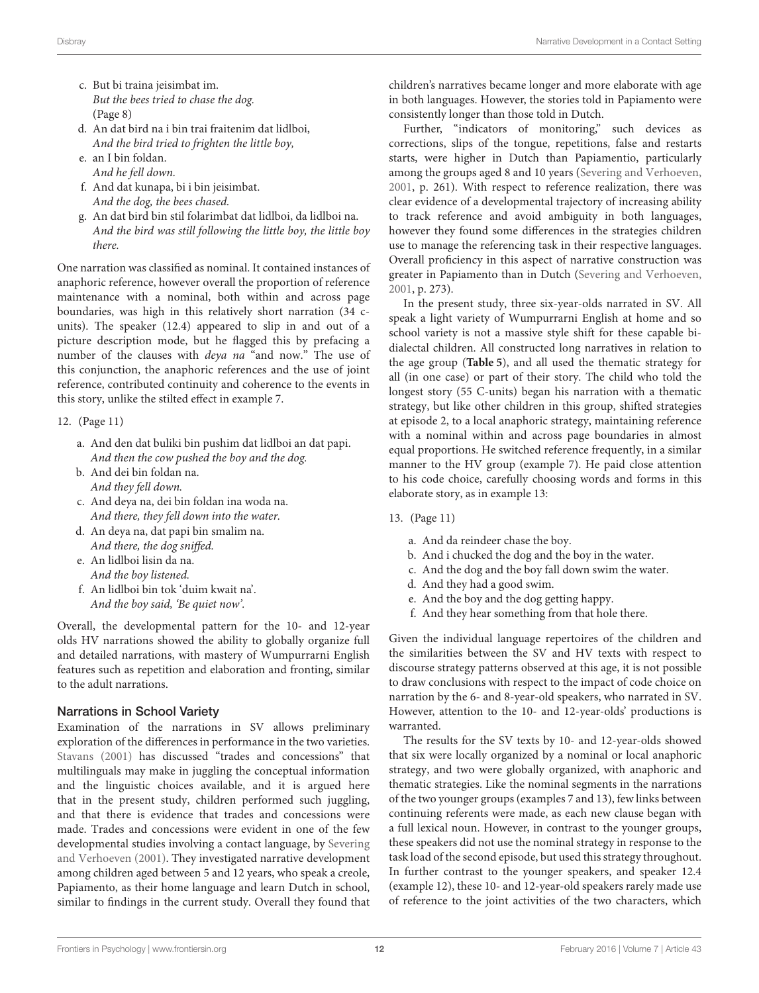- c. But bi traina jeisimbat im. But the bees tried to chase the dog. (Page 8)
- d. An dat bird na i bin trai fraitenim dat lidlboi, And the bird tried to frighten the little boy,
- e. an I bin foldan.
- And he fell down.
- f. And dat kunapa, bi i bin jeisimbat. And the dog, the bees chased.
- g. An dat bird bin stil folarimbat dat lidlboi, da lidlboi na. And the bird was still following the little boy, the little boy there.

One narration was classified as nominal. It contained instances of anaphoric reference, however overall the proportion of reference maintenance with a nominal, both within and across page boundaries, was high in this relatively short narration (34 cunits). The speaker (12.4) appeared to slip in and out of a picture description mode, but he flagged this by prefacing a number of the clauses with deya na "and now." The use of this conjunction, the anaphoric references and the use of joint reference, contributed continuity and coherence to the events in this story, unlike the stilted effect in example 7.

- 12. (Page 11)
	- a. And den dat buliki bin pushim dat lidlboi an dat papi. And then the cow pushed the boy and the dog.
	- b. And dei bin foldan na. And they fell down.
	- c. And deya na, dei bin foldan ina woda na. And there, they fell down into the water.
	- d. An deya na, dat papi bin smalim na. And there, the dog sniffed.
	- e. An lidlboi lisin da na. And the boy listened.
	- f. An lidlboi bin tok 'duim kwait na'. And the boy said, 'Be quiet now'.

Overall, the developmental pattern for the 10- and 12-year olds HV narrations showed the ability to globally organize full and detailed narrations, with mastery of Wumpurrarni English features such as repetition and elaboration and fronting, similar to the adult narrations.

#### Narrations in School Variety

Examination of the narrations in SV allows preliminary exploration of the differences in performance in the two varieties. [Stavans \(2001\)](#page-17-15) has discussed "trades and concessions" that multilinguals may make in juggling the conceptual information and the linguistic choices available, and it is argued here that in the present study, children performed such juggling, and that there is evidence that trades and concessions were made. Trades and concessions were evident in one of the few developmental studies involving a contact language, by Severing and Verhoeven [\(2001\)](#page-17-0). They investigated narrative development among children aged between 5 and 12 years, who speak a creole, Papiamento, as their home language and learn Dutch in school, similar to findings in the current study. Overall they found that children's narratives became longer and more elaborate with age in both languages. However, the stories told in Papiamento were consistently longer than those told in Dutch.

Further, "indicators of monitoring," such devices as corrections, slips of the tongue, repetitions, false and restarts starts, were higher in Dutch than Papiamentio, particularly among the groups aged 8 and 10 years [\(Severing and Verhoeven,](#page-17-0) [2001,](#page-17-0) p. 261). With respect to reference realization, there was clear evidence of a developmental trajectory of increasing ability to track reference and avoid ambiguity in both languages, however they found some differences in the strategies children use to manage the referencing task in their respective languages. Overall proficiency in this aspect of narrative construction was greater in Papiamento than in Dutch [\(Severing and Verhoeven,](#page-17-0) [2001,](#page-17-0) p. 273).

In the present study, three six-year-olds narrated in SV. All speak a light variety of Wumpurrarni English at home and so school variety is not a massive style shift for these capable bidialectal children. All constructed long narratives in relation to the age group (**[Table 5](#page-9-2)**), and all used the thematic strategy for all (in one case) or part of their story. The child who told the longest story (55 C-units) began his narration with a thematic strategy, but like other children in this group, shifted strategies at episode 2, to a local anaphoric strategy, maintaining reference with a nominal within and across page boundaries in almost equal proportions. He switched reference frequently, in a similar manner to the HV group (example 7). He paid close attention to his code choice, carefully choosing words and forms in this elaborate story, as in example 13:

- 13. (Page 11)
	- a. And da reindeer chase the boy.
	- b. And i chucked the dog and the boy in the water.
	- c. And the dog and the boy fall down swim the water.
	- d. And they had a good swim.
	- e. And the boy and the dog getting happy.
	- f. And they hear something from that hole there.

Given the individual language repertoires of the children and the similarities between the SV and HV texts with respect to discourse strategy patterns observed at this age, it is not possible to draw conclusions with respect to the impact of code choice on narration by the 6- and 8-year-old speakers, who narrated in SV. However, attention to the 10- and 12-year-olds' productions is warranted.

The results for the SV texts by 10- and 12-year-olds showed that six were locally organized by a nominal or local anaphoric strategy, and two were globally organized, with anaphoric and thematic strategies. Like the nominal segments in the narrations of the two younger groups (examples 7 and 13), few links between continuing referents were made, as each new clause began with a full lexical noun. However, in contrast to the younger groups, these speakers did not use the nominal strategy in response to the task load of the second episode, but used this strategy throughout. In further contrast to the younger speakers, and speaker 12.4 (example 12), these 10- and 12-year-old speakers rarely made use of reference to the joint activities of the two characters, which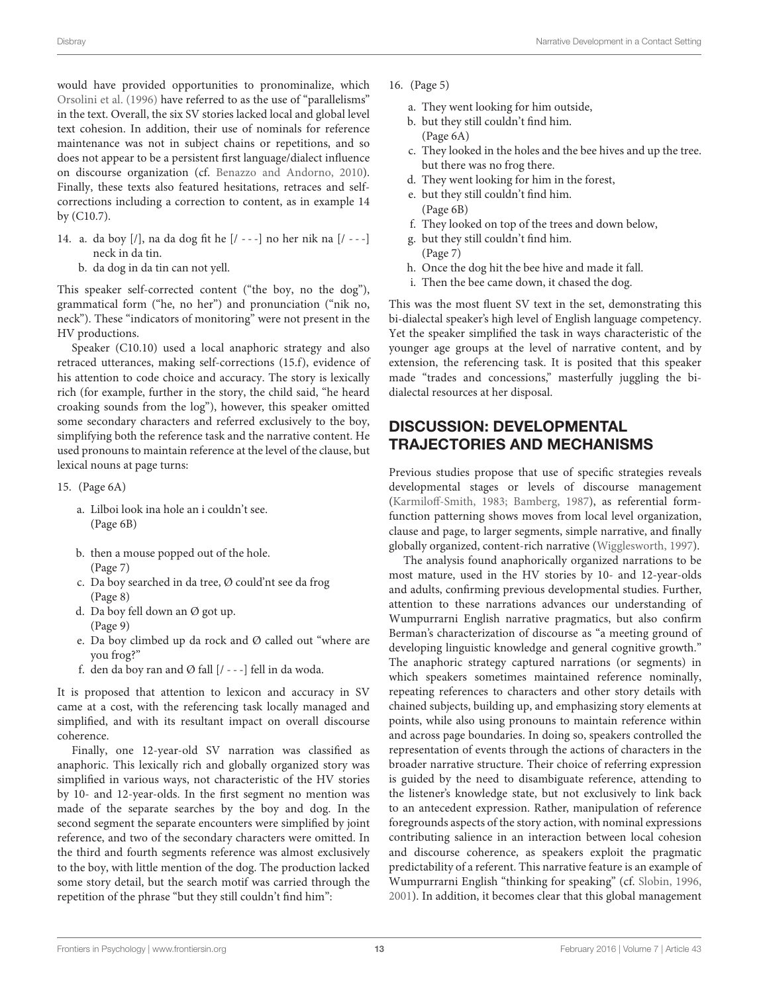would have provided opportunities to pronominalize, which [Orsolini et al. \(1996\)](#page-16-6) have referred to as the use of "parallelisms" in the text. Overall, the six SV stories lacked local and global level text cohesion. In addition, their use of nominals for reference maintenance was not in subject chains or repetitions, and so does not appear to be a persistent first language/dialect influence on discourse organization (cf. [Benazzo and Andorno, 2010\)](#page-15-8). Finally, these texts also featured hesitations, retraces and selfcorrections including a correction to content, as in example 14 by (C10.7).

- 14. a. da boy [/], na da dog fit he [/ - -] no her nik na [/ - -] neck in da tin.
	- b. da dog in da tin can not yell.

This speaker self-corrected content ("the boy, no the dog"), grammatical form ("he, no her") and pronunciation ("nik no, neck"). These "indicators of monitoring" were not present in the HV productions.

Speaker (C10.10) used a local anaphoric strategy and also retraced utterances, making self-corrections (15.f), evidence of his attention to code choice and accuracy. The story is lexically rich (for example, further in the story, the child said, "he heard croaking sounds from the log"), however, this speaker omitted some secondary characters and referred exclusively to the boy, simplifying both the reference task and the narrative content. He used pronouns to maintain reference at the level of the clause, but lexical nouns at page turns:

- 15. (Page 6A)
	- a. Lilboi look ina hole an i couldn't see. (Page 6B)
	- b. then a mouse popped out of the hole. (Page 7)
	- c. Da boy searched in da tree, Ø could'nt see da frog (Page 8)
	- d. Da boy fell down an Ø got up. (Page 9)
	- e. Da boy climbed up da rock and Ø called out "where are you frog?"
	- f. den da boy ran and Ø fall  $[/--]$  fell in da woda.

It is proposed that attention to lexicon and accuracy in SV came at a cost, with the referencing task locally managed and simplified, and with its resultant impact on overall discourse coherence.

Finally, one 12-year-old SV narration was classified as anaphoric. This lexically rich and globally organized story was simplified in various ways, not characteristic of the HV stories by 10- and 12-year-olds. In the first segment no mention was made of the separate searches by the boy and dog. In the second segment the separate encounters were simplified by joint reference, and two of the secondary characters were omitted. In the third and fourth segments reference was almost exclusively to the boy, with little mention of the dog. The production lacked some story detail, but the search motif was carried through the repetition of the phrase "but they still couldn't find him":

- 16. (Page 5)
	- a. They went looking for him outside,
	- b. but they still couldn't find him. (Page 6A)
	- c. They looked in the holes and the bee hives and up the tree. but there was no frog there.
	- d. They went looking for him in the forest,
	- e. but they still couldn't find him. (Page 6B)
	- f. They looked on top of the trees and down below,
	- g. but they still couldn't find him.
	- (Page 7)
	- h. Once the dog hit the bee hive and made it fall.
	- i. Then the bee came down, it chased the dog.

This was the most fluent SV text in the set, demonstrating this bi-dialectal speaker's high level of English language competency. Yet the speaker simplified the task in ways characteristic of the younger age groups at the level of narrative content, and by extension, the referencing task. It is posited that this speaker made "trades and concessions," masterfully juggling the bidialectal resources at her disposal.

# DISCUSSION: DEVELOPMENTAL TRAJECTORIES AND MECHANISMS

Previous studies propose that use of specific strategies reveals developmental stages or levels of discourse management [\(Karmiloff-Smith, 1983;](#page-16-28) [Bamberg, 1987\)](#page-15-12), as referential formfunction patterning shows moves from local level organization, clause and page, to larger segments, simple narrative, and finally globally organized, content-rich narrative [\(Wigglesworth, 1997\)](#page-17-18).

The analysis found anaphorically organized narrations to be most mature, used in the HV stories by 10- and 12-year-olds and adults, confirming previous developmental studies. Further, attention to these narrations advances our understanding of Wumpurrarni English narrative pragmatics, but also confirm Berman's characterization of discourse as "a meeting ground of developing linguistic knowledge and general cognitive growth." The anaphoric strategy captured narrations (or segments) in which speakers sometimes maintained reference nominally, repeating references to characters and other story details with chained subjects, building up, and emphasizing story elements at points, while also using pronouns to maintain reference within and across page boundaries. In doing so, speakers controlled the representation of events through the actions of characters in the broader narrative structure. Their choice of referring expression is guided by the need to disambiguate reference, attending to the listener's knowledge state, but not exclusively to link back to an antecedent expression. Rather, manipulation of reference foregrounds aspects of the story action, with nominal expressions contributing salience in an interaction between local cohesion and discourse coherence, as speakers exploit the pragmatic predictability of a referent. This narrative feature is an example of Wumpurrarni English "thinking for speaking" (cf. [Slobin, 1996,](#page-17-12) [2001\)](#page-17-11). In addition, it becomes clear that this global management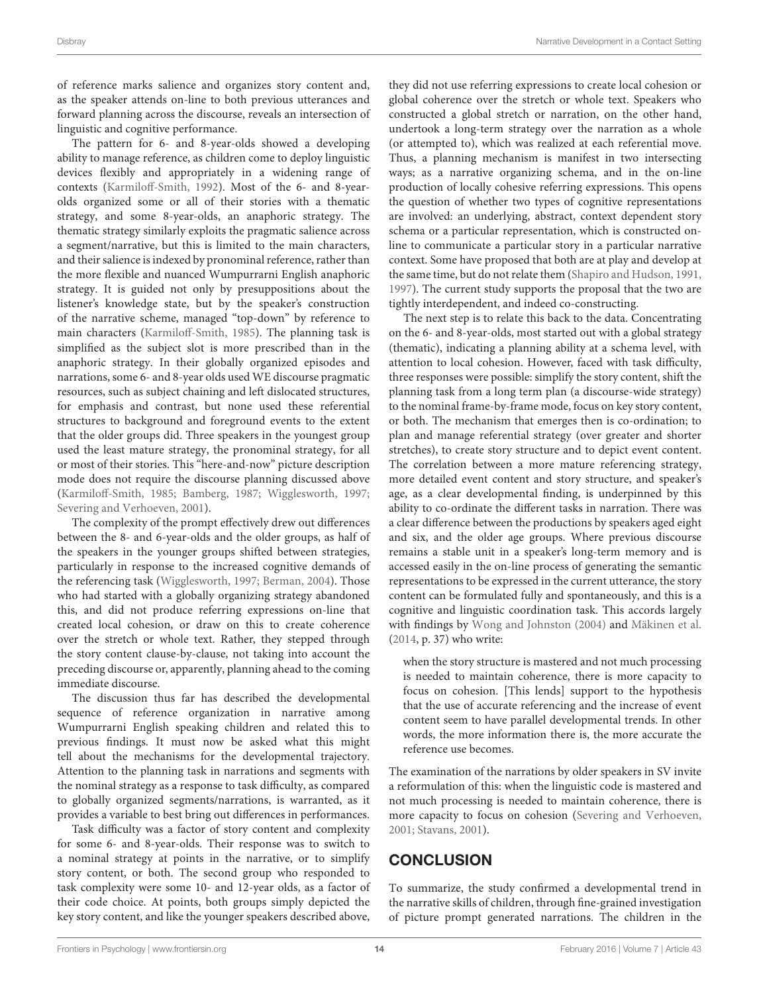of reference marks salience and organizes story content and, as the speaker attends on-line to both previous utterances and forward planning across the discourse, reveals an intersection of linguistic and cognitive performance.

The pattern for 6- and 8-year-olds showed a developing ability to manage reference, as children come to deploy linguistic devices flexibly and appropriately in a widening range of contexts [\(Karmiloff-Smith, 1992\)](#page-16-3). Most of the 6- and 8-yearolds organized some or all of their stories with a thematic strategy, and some 8-year-olds, an anaphoric strategy. The thematic strategy similarly exploits the pragmatic salience across a segment/narrative, but this is limited to the main characters, and their salience is indexed by pronominal reference, rather than the more flexible and nuanced Wumpurrarni English anaphoric strategy. It is guided not only by presuppositions about the listener's knowledge state, but by the speaker's construction of the narrative scheme, managed "top-down" by reference to main characters [\(Karmiloff-Smith, 1985\)](#page-16-26). The planning task is simplified as the subject slot is more prescribed than in the anaphoric strategy. In their globally organized episodes and narrations, some 6- and 8-year olds used WE discourse pragmatic resources, such as subject chaining and left dislocated structures, for emphasis and contrast, but none used these referential structures to background and foreground events to the extent that the older groups did. Three speakers in the youngest group used the least mature strategy, the pronominal strategy, for all or most of their stories. This "here-and-now" picture description mode does not require the discourse planning discussed above [\(Karmiloff-Smith, 1985;](#page-16-26) [Bamberg, 1987;](#page-15-12) [Wigglesworth, 1997;](#page-17-18) [Severing and Verhoeven, 2001\)](#page-17-0).

The complexity of the prompt effectively drew out differences between the 8- and 6-year-olds and the older groups, as half of the speakers in the younger groups shifted between strategies, particularly in response to the increased cognitive demands of the referencing task [\(Wigglesworth, 1997;](#page-17-18) [Berman, 2004\)](#page-15-1). Those who had started with a globally organizing strategy abandoned this, and did not produce referring expressions on-line that created local cohesion, or draw on this to create coherence over the stretch or whole text. Rather, they stepped through the story content clause-by-clause, not taking into account the preceding discourse or, apparently, planning ahead to the coming immediate discourse.

The discussion thus far has described the developmental sequence of reference organization in narrative among Wumpurrarni English speaking children and related this to previous findings. It must now be asked what this might tell about the mechanisms for the developmental trajectory. Attention to the planning task in narrations and segments with the nominal strategy as a response to task difficulty, as compared to globally organized segments/narrations, is warranted, as it provides a variable to best bring out differences in performances.

Task difficulty was a factor of story content and complexity for some 6- and 8-year-olds. Their response was to switch to a nominal strategy at points in the narrative, or to simplify story content, or both. The second group who responded to task complexity were some 10- and 12-year olds, as a factor of their code choice. At points, both groups simply depicted the key story content, and like the younger speakers described above, they did not use referring expressions to create local cohesion or global coherence over the stretch or whole text. Speakers who constructed a global stretch or narration, on the other hand, undertook a long-term strategy over the narration as a whole (or attempted to), which was realized at each referential move. Thus, a planning mechanism is manifest in two intersecting ways; as a narrative organizing schema, and in the on-line production of locally cohesive referring expressions. This opens the question of whether two types of cognitive representations are involved: an underlying, abstract, context dependent story schema or a particular representation, which is constructed online to communicate a particular story in a particular narrative context. Some have proposed that both are at play and develop at the same time, but do not relate them [\(Shapiro and Hudson, 1991,](#page-17-25) [1997\)](#page-17-16). The current study supports the proposal that the two are tightly interdependent, and indeed co-constructing.

The next step is to relate this back to the data. Concentrating on the 6- and 8-year-olds, most started out with a global strategy (thematic), indicating a planning ability at a schema level, with attention to local cohesion. However, faced with task difficulty, three responses were possible: simplify the story content, shift the planning task from a long term plan (a discourse-wide strategy) to the nominal frame-by-frame mode, focus on key story content, or both. The mechanism that emerges then is co-ordination; to plan and manage referential strategy (over greater and shorter stretches), to create story structure and to depict event content. The correlation between a more mature referencing strategy, more detailed event content and story structure, and speaker's age, as a clear developmental finding, is underpinned by this ability to co-ordinate the different tasks in narration. There was a clear difference between the productions by speakers aged eight and six, and the older age groups. Where previous discourse remains a stable unit in a speaker's long-term memory and is accessed easily in the on-line process of generating the semantic representations to be expressed in the current utterance, the story content can be formulated fully and spontaneously, and this is a cognitive and linguistic coordination task. This accords largely with findings by [Wong and Johnston \(2004\)](#page-17-4) and [Mäkinen et al.](#page-16-2) [\(2014,](#page-16-2) p. 37) who write:

when the story structure is mastered and not much processing is needed to maintain coherence, there is more capacity to focus on cohesion. [This lends] support to the hypothesis that the use of accurate referencing and the increase of event content seem to have parallel developmental trends. In other words, the more information there is, the more accurate the reference use becomes.

The examination of the narrations by older speakers in SV invite a reformulation of this: when the linguistic code is mastered and not much processing is needed to maintain coherence, there is more capacity to focus on cohesion [\(Severing and Verhoeven,](#page-17-0) [2001;](#page-17-0) [Stavans, 2001\)](#page-17-15).

# **CONCLUSION**

To summarize, the study confirmed a developmental trend in the narrative skills of children, through fine-grained investigation of picture prompt generated narrations. The children in the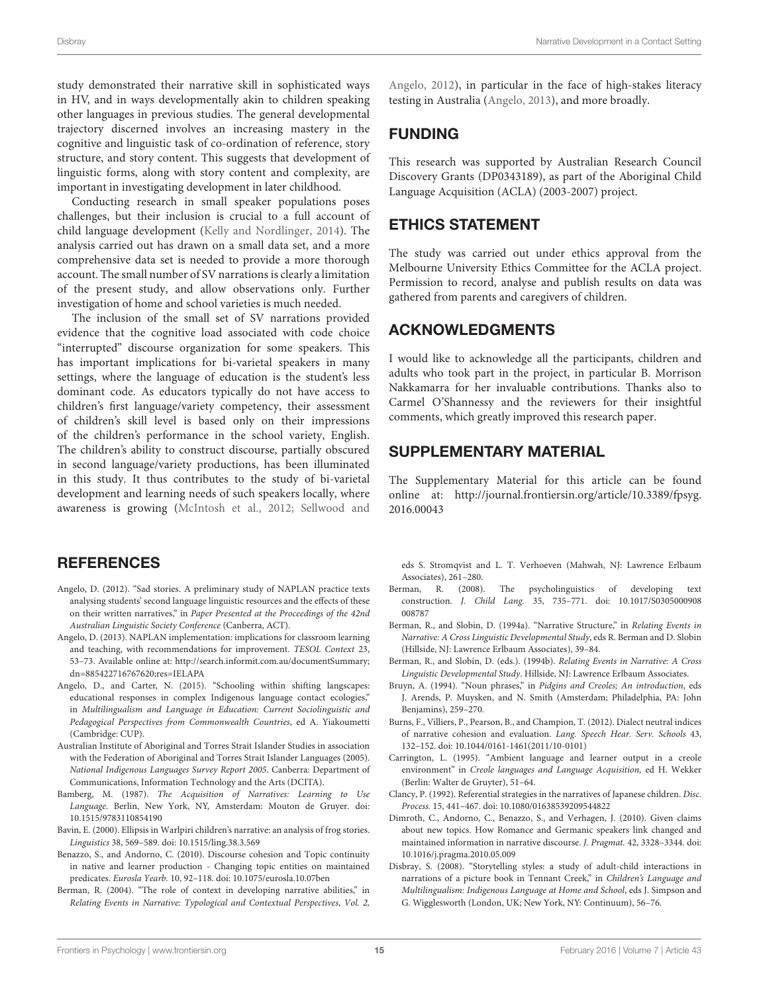study demonstrated their narrative skill in sophisticated ways in HV, and in ways developmentally akin to children speaking other languages in previous studies. The general developmental trajectory discerned involves an increasing mastery in the cognitive and linguistic task of co-ordination of reference, story structure, and story content. This suggests that development of linguistic forms, along with story content and complexity, are important in investigating development in later childhood.

Conducting research in small speaker populations poses challenges, but their inclusion is crucial to a full account of child language development [\(Kelly and Nordlinger, 2014\)](#page-16-44). The analysis carried out has drawn on a small data set, and a more comprehensive data set is needed to provide a more thorough account. The small number of SV narrations is clearly a limitation of the present study, and allow observations only. Further investigation of home and school varieties is much needed.

The inclusion of the small set of SV narrations provided evidence that the cognitive load associated with code choice "interrupted" discourse organization for some speakers. This has important implications for bi-varietal speakers in many settings, where the language of education is the student's less dominant code. As educators typically do not have access to children's first language/variety competency, their assessment of children's skill level is based only on their impressions of the children's performance in the school variety, English. The children's ability to construct discourse, partially obscured in second language/variety productions, has been illuminated in this study. It thus contributes to the study of bi-varietal development and learning needs of such speakers locally, where awareness is growing [\(McIntosh et al., 2012;](#page-16-15) Sellwood and

### **REFERENCES**

- <span id="page-15-5"></span>Angelo, D. (2012). "Sad stories. A preliminary study of NAPLAN practice texts analysing students' second language linguistic resources and the effects of these on their written narratives," in Paper Presented at the Proceedings of the 42nd Australian Linguistic Society Conference (Canberra, ACT).
- <span id="page-15-6"></span>Angelo, D. (2013). NAPLAN implementation: implications for classroom learning and teaching, with recommendations for improvement. TESOL Context 23, 53–73. Available online at: [http://search.informit.com.au/documentSummary;](http://search.informit.com.au/documentSummary;dn=885422716767620;res=IELAPA) [dn=885422716767620;res=IELAPA](http://search.informit.com.au/documentSummary;dn=885422716767620;res=IELAPA)
- <span id="page-15-7"></span>Angelo, D., and Carter, N. (2015). "Schooling within shifting langscapes: educational responses in complex Indigenous language contact ecologies," in Multilingualism and Language in Education: Current Sociolinguistic and Pedagogical Perspectives from Commonwealth Countries, ed A. Yiakoumetti (Cambridge: CUP).
- <span id="page-15-15"></span>Australian Institute of Aboriginal and Torres Strait Islander Studies in association with the Federation of Aboriginal and Torres Strait Islander Languages (2005). National Indigenous Languages Survey Report 2005. Canberra: Department of Communications, Information Technology and the Arts (DCITA).
- <span id="page-15-12"></span>Bamberg, M. (1987). The Acquisition of Narratives: Learning to Use Language. Berlin, New York, NY, Amsterdam: Mouton de Gruyer. doi: 10.1515/9783110854190
- <span id="page-15-11"></span>Bavin, E. (2000). Ellipsis in Warlpiri children's narrative: an analysis of frog stories. Linguistics 38, 569–589. doi: 10.1515/ling.38.3.569
- <span id="page-15-8"></span>Benazzo, S., and Andorno, C. (2010). Discourse cohesion and Topic continuity in native and learner production - Changing topic entities on maintained predicates. Eurosla Yearb. 10, 92–118. doi: 10.1075/eurosla.10.07ben
- <span id="page-15-1"></span>Berman, R. (2004). "The role of context in developing narrative abilities," in Relating Events in Narrative: Typological and Contextual Perspectives, Vol. 2,

Angelo, [2012\)](#page-17-8), in particular in the face of high-stakes literacy testing in Australia [\(Angelo, 2013\)](#page-15-6), and more broadly.

### FUNDING

This research was supported by Australian Research Council Discovery Grants (DP0343189), as part of the Aboriginal Child Language Acquisition (ACLA) (2003-2007) project.

### ETHICS STATEMENT

The study was carried out under ethics approval from the Melbourne University Ethics Committee for the ACLA project. Permission to record, analyse and publish results on data was gathered from parents and caregivers of children.

### ACKNOWLEDGMENTS

I would like to acknowledge all the participants, children and adults who took part in the project, in particular B. Morrison Nakkamarra for her invaluable contributions. Thanks also to Carmel O'Shannessy and the reviewers for their insightful comments, which greatly improved this research paper.

### SUPPLEMENTARY MATERIAL

The Supplementary Material for this article can be found [online at: http://journal.frontiersin.org/article/10.3389/fpsyg.](http://journal.frontiersin.org/article/10.3389/fpsyg.2016.00043) 2016.00043

eds S. Stromqvist and L. T. Verhoeven (Mahwah, NJ: Lawrence Erlbaum Associates), 261–280.

- <span id="page-15-2"></span>Berman, R. (2008). The psycholinguistics of developing text construction. J. Child Lang. 35, 735–771. doi: 10.1017/S0305000908 008787
- <span id="page-15-10"></span>Berman, R., and Slobin, D. (1994a). "Narrative Structure," in Relating Events in Narrative: A Cross Linguistic Developmental Study, eds R. Berman and D. Slobin (Hillside, NJ: Lawrence Erlbaum Associates), 39–84.
- <span id="page-15-0"></span>Berman, R., and Slobin, D. (eds.). (1994b). Relating Events in Narrative: A Cross Linguistic Developmental Study. Hillside, NJ: Lawrence Erlbaum Associates.
- <span id="page-15-16"></span>Bruyn, A. (1994). "Noun phrases," in Pidgins and Creoles; An introduction, eds J. Arends, P. Muysken, and N. Smith (Amsterdam; Philadelphia, PA: John Benjamins), 259–270.
- <span id="page-15-4"></span>Burns, F., Villiers, P., Pearson, B., and Champion, T. (2012). Dialect neutral indices of narrative cohesion and evaluation. Lang. Speech Hear. Serv. Schools 43, 132–152. doi: 10.1044/0161-1461(2011/10-0101)
- <span id="page-15-14"></span>Carrington, L. (1995). "Ambient language and learner output in a creole environment" in Creole languages and Language Acquisition, ed H. Wekker (Berlin: Walter de Gruyter), 51–64.
- <span id="page-15-3"></span>Clancy, P. (1992). Referential strategies in the narratives of Japanese children. Disc. Process. 15, 441–467. doi: 10.1080/01638539209544822
- <span id="page-15-9"></span>Dimroth, C., Andorno, C., Benazzo, S., and Verhagen, J. (2010). Given claims about new topics. How Romance and Germanic speakers link changed and maintained information in narrative discourse. J. Pragmat. 42, 3328–3344. doi: 10.1016/j.pragma.2010.05.009
- <span id="page-15-13"></span>Disbray, S. (2008). "Storytelling styles: a study of adult-child interactions in narrations of a picture book in Tennant Creek," in Children's Language and Multilingualism: Indigenous Language at Home and School, eds J. Simpson and G. Wigglesworth (London, UK; New York, NY: Continuum), 56–76.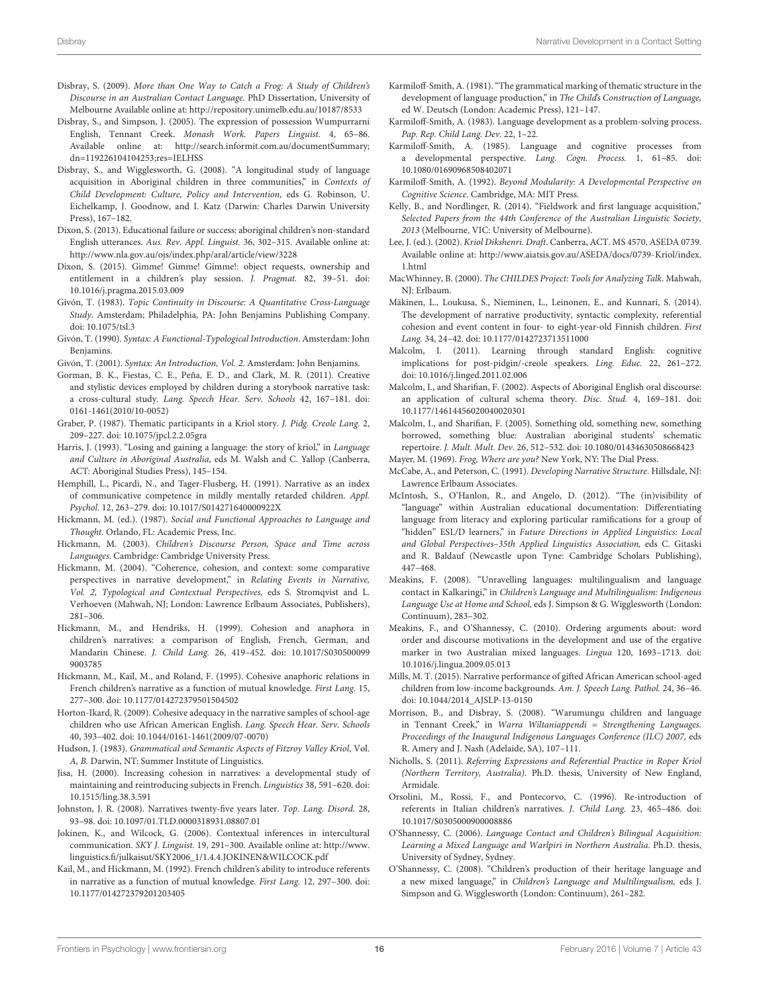- <span id="page-16-41"></span>Disbray, S. (2009). More than One Way to Catch a Frog: A Study of Children's Discourse in an Australian Contact Language. PhD Dissertation, University of Melbourne Available online at:<http://repository.unimelb.edu.au/10187/8533>
- <span id="page-16-35"></span>Disbray, S., and Simpson, J. (2005). The expression of possession Wumpurrarni English, Tennant Creek. Monash Work. Papers Linguist. 4, 65–86. Available online at: [http://search.informit.com.au/documentSummary;](http://search.informit.com.au/documentSummary;dn=119226104104253;res=IELHSS) [dn=119226104104253;res=IELHSS](http://search.informit.com.au/documentSummary;dn=119226104104253;res=IELHSS)
- <span id="page-16-11"></span>Disbray, S., and Wigglesworth, G. (2008). "A longitudinal study of language acquisition in Aboriginal children in three communities," in Contexts of Child Development: Culture, Policy and Intervention, eds G. Robinson, U. Eichelkamp, J. Goodnow, and I. Katz (Darwin: Charles Darwin University Press), 167–182.
- <span id="page-16-34"></span>Dixon, S. (2013). Educational failure or success: aboriginal children's non-standard English utterances. Aus. Rev. Appl. Linguist. 36, 302–315. Available online at: <http://www.nla.gov.au/ojs/index.php/aral/article/view/3228>
- <span id="page-16-14"></span>Dixon, S. (2015). Gimme! Gimme! Gimme!: object requests, ownership and entitlement in a children's play session. J. Pragmat. 82, 39–51. doi: 10.1016/j.pragma.2015.03.009
- <span id="page-16-39"></span>Givón, T. (1983). Topic Continuity in Discourse: A Quantitative Cross-Language Study. Amsterdam; Philadelphia, PA: John Benjamins Publishing Company. doi: 10.1075/tsl.3
- <span id="page-16-40"></span>Givón, T. (1990). Syntax: A Functional-Typological Introduction. Amsterdam: John Benjamins.

<span id="page-16-42"></span>Givón, T. (2001). Syntax: An Introduction, Vol. 2. Amsterdam: John Benjamins.

- <span id="page-16-10"></span>Gorman, B. K., Fiestas, C. E., Peña, E. D., and Clark, M. R. (2011). Creative and stylistic devices employed by children during a storybook narrative task: a cross-cultural study. Lang. Speech Hear. Serv. Schools 42, 167–181. doi: 0161-1461(2010/10-0052)
- <span id="page-16-31"></span>Graber, P. (1987). Thematic participants in a Kriol story. J. Pidg. Creole Lang. 2, 209–227. doi: 10.1075/jpcl.2.2.05gra
- <span id="page-16-36"></span>Harris, J. (1993). "Losing and gaining a language: the story of kriol," in Language and Culture in Aboriginal Australia, eds M. Walsh and C. Yallop (Canberra, ACT: Aboriginal Studies Press), 145–154.
- <span id="page-16-27"></span>Hemphill, L., Picardi, N., and Tager-Flusberg, H. (1991). Narrative as an index of communicative competence in mildly mentally retarded children. Appl. Psychol. 12, 263–279. doi: 10.1017/S014271640000922X
- <span id="page-16-21"></span>Hickmann, M. (ed.). (1987). Social and Functional Approaches to Language and Thought. Orlando, FL: Academic Press, Inc.
- <span id="page-16-1"></span>Hickmann, M. (2003). Children's Discourse Person, Space and Time across Languages. Cambridge: Cambridge University Press.
- <span id="page-16-0"></span>Hickmann, M. (2004). "Coherence, cohesion, and context: some comparative perspectives in narrative development," in Relating Events in Narrative, Vol. 2, Typological and Contextual Perspectives, eds S. Stromqvist and L. Verhoeven (Mahwah, NJ; London: Lawrence Erlbaum Associates, Publishers), 281–306.
- <span id="page-16-24"></span>Hickmann, M., and Hendriks, H. (1999). Cohesion and anaphora in children's narratives: a comparison of English, French, German, and Mandarin Chinese. J. Child Lang. 26, 419–452. doi: 10.1017/S030500099 9003785
- <span id="page-16-5"></span>Hickmann, M., Kail, M., and Roland, F. (1995). Cohesive anaphoric relations in French children's narrative as a function of mutual knowledge. First Lang. 15, 277–300. doi: 10.1177/014272379501504502
- <span id="page-16-8"></span>Horton-Ikard, R. (2009). Cohesive adequacy in the narrative samples of school-age children who use African American English. Lang. Speech Hear. Serv. Schools 40, 393–402. doi: 10.1044/0161-1461(2009/07-0070)
- <span id="page-16-30"></span>Hudson, J. (1983). Grammatical and Semantic Aspects of Fitzroy Valley Kriol, Vol. A, B. Darwin, NT: Summer Institute of Linguistics.
- <span id="page-16-25"></span>Jisa, H. (2000). Increasing cohesion in narratives: a developmental study of maintaining and reintroducing subjects in French. Linguistics 38, 591–620. doi: 10.1515/ling.38.3.591
- <span id="page-16-7"></span>Johnston, J. R. (2008). Narratives twenty-five years later. Top. Lang. Disord. 28, 93–98. doi: 10.1097/01.TLD.0000318931.08807.01
- <span id="page-16-22"></span>Jokinen, K., and Wilcock, G. (2006). Contextual inferences in intercultural communication. SKY J. Linguist. 19, 291–300. Available online at: [http://www.](http://www.linguistics.fi/julkaisut/SKY2006_1/1.4.4. JOKINEN & WILCOCK.pdf) [linguistics.fi/julkaisut/SKY2006\\_1/1.4.4.JOKINEN&WILCOCK.pdf](http://www.linguistics.fi/julkaisut/SKY2006_1/1.4.4. JOKINEN & WILCOCK.pdf)
- <span id="page-16-23"></span>Kail, M., and Hickmann, M. (1992). French children's ability to introduce referents in narrative as a function of mutual knowledge. First Lang. 12, 297–300. doi: 10.1177/014272379201203405
- <span id="page-16-20"></span>Karmiloff-Smith, A. (1981). "The grammatical marking of thematic structure in the development of language production," in The Child's Construction of Language, ed W. Deutsch (London: Academic Press), 121–147.
- <span id="page-16-28"></span>Karmiloff-Smith, A. (1983). Language development as a problem-solving process. Pap. Rep. Child Lang. Dev. 22, 1–22.
- <span id="page-16-26"></span>Karmiloff-Smith, A. (1985). Language and cognitive processes from a developmental perspective. Lang. Cogn. Process. 1, 61–85. doi: 10.1080/01690968508402071
- <span id="page-16-3"></span>Karmiloff-Smith, A. (1992). Beyond Modularity: A Developmental Perspective on Cognitive Science. Cambridge, MA: MIT Press.
- <span id="page-16-44"></span>Kelly, B., and Nordlinger, R. (2014). "Fieldwork and first language acquisition," Selected Papers from the 44th Conference of the Australian Linguistic Society, 2013 (Melbourne, VIC: University of Melbourne).
- <span id="page-16-38"></span>Lee, J. (ed.). (2002). Kriol Dikshenri. Draft. Canberra, ACT. MS 4570, ASEDA 0739. Available online at: [http://www.aiatsis.gov.au/ASEDA/docs/0739-Kriol/index.](http://www.aiatsis.gov.au/ASEDA/docs/0739-Kriol/index.1.html) [1.html](http://www.aiatsis.gov.au/ASEDA/docs/0739-Kriol/index.1.html)
- <span id="page-16-43"></span>MacWhinney, B. (2000). The CHILDES Project: Tools for Analyzing Talk. Mahwah, NJ: Erlbaum.
- <span id="page-16-2"></span>Mäkinen, L., Loukusa, S., Nieminen, L., Leinonen, E., and Kunnari, S. (2014). The development of narrative productivity, syntactic complexity, referential cohesion and event content in four- to eight-year-old Finnish children. First Lang. 34, 24–42. doi: 10.1177/0142723713511000
- <span id="page-16-37"></span>Malcolm, I. (2011). Learning through standard English: cognitive implications for post-pidgin/-creole speakers. Ling. Educ. 22, 261–272. doi: 10.1016/j.linged.2011.02.006
- <span id="page-16-16"></span>Malcolm, I., and Sharifian, F. (2002). Aspects of Aboriginal English oral discourse: an application of cultural schema theory. Disc. Stud. 4, 169–181. doi: 10.1177/14614456020040020301
- <span id="page-16-17"></span>Malcolm, I., and Sharifian, F. (2005). Something old, something new, something borrowed, something blue: Australian aboriginal students' schematic repertoire. J. Mult. Mult. Dev. 26, 512–532. doi: 10.1080/01434630508668423
- <span id="page-16-29"></span>Mayer, M. (1969). Frog, Where are you? New York, NY: The Dial Press.
- <span id="page-16-4"></span>McCabe, A., and Peterson, C. (1991). Developing Narrative Structure. Hillsdale, NJ: Lawrence Erlbaum Associates.
- <span id="page-16-15"></span>McIntosh, S., O'Hanlon, R., and Angelo, D. (2012). "The (in)visibility of "language" within Australian educational documentation: Differentiating language from literacy and exploring particular ramifications for a group of "hidden" ESL/D learners," in Future Directions in Applied Linguistics: Local and Global Perspectives–35th Applied Linguistics Association, eds C. Gitaski and R. Baldauf (Newcastle upon Tyne: Cambridge Scholars Publishing), 447–468.
- <span id="page-16-12"></span>Meakins, F. (2008). "Unravelling languages: multilingualism and language contact in Kalkaringi," in Children's Language and Multilingualism: Indigenous Language Use at Home and School, eds J. Simpson & G. Wigglesworth (London: Continuum), 283–302.
- <span id="page-16-33"></span>Meakins, F., and O'Shannessy, C. (2010). Ordering arguments about: word order and discourse motivations in the development and use of the ergative marker in two Australian mixed languages. Lingua 120, 1693–1713. doi: 10.1016/j.lingua.2009.05.013
- <span id="page-16-9"></span>Mills, M. T. (2015). Narrative performance of gifted African American school-aged children from low-income backgrounds. Am. J. Speech Lang. Pathol. 24, 36–46. doi: 10.1044/2014\_AJSLP-13-0150
- <span id="page-16-13"></span>Morrison, B., and Disbray, S. (2008). "Warumungu children and language in Tennant Creek," in Warra Wiltaniappendi = Strengthening Languages. Proceedings of the Inaugural Indigenous Languages Conference (ILC) 2007, eds R. Amery and J. Nash (Adelaide, SA), 107–111.
- <span id="page-16-32"></span>Nicholls, S. (2011). Referring Expressions and Referential Practice in Roper Kriol (Northern Territory, Australia). Ph.D. thesis, University of New England, Armidale.
- <span id="page-16-6"></span>Orsolini, M., Rossi, F., and Pontecorvo, C. (1996). Re-introduction of referents in Italian children's narratives. J. Child Lang. 23, 465–486. doi: 10.1017/S0305000900008886
- <span id="page-16-18"></span>O'Shannessy, C. (2006). Language Contact and Children's Bilingual Acquisition: Learning a Mixed Language and Warlpiri in Northern Australia. Ph.D. thesis, University of Sydney, Sydney.
- <span id="page-16-19"></span>O'Shannessy, C. (2008). "Children's production of their heritage language and a new mixed language," in Children's Language and Multilingualism, eds J. Simpson and G. Wigglesworth (London: Continuum), 261–282.